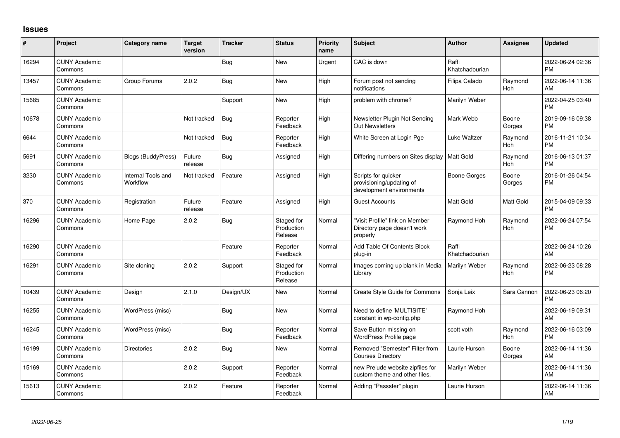## **Issues**

| ∦     | Project                         | <b>Category name</b>           | Target<br>version | <b>Tracker</b> | <b>Status</b>                       | <b>Priority</b><br>name | <b>Subject</b>                                                              | <b>Author</b>           | <b>Assignee</b>       | Updated                       |
|-------|---------------------------------|--------------------------------|-------------------|----------------|-------------------------------------|-------------------------|-----------------------------------------------------------------------------|-------------------------|-----------------------|-------------------------------|
| 16294 | <b>CUNY Academic</b><br>Commons |                                |                   | <b>Bug</b>     | <b>New</b>                          | Urgent                  | CAC is down                                                                 | Raffi<br>Khatchadourian |                       | 2022-06-24 02:36<br><b>PM</b> |
| 13457 | <b>CUNY Academic</b><br>Commons | Group Forums                   | 2.0.2             | <b>Bug</b>     | <b>New</b>                          | High                    | Forum post not sending<br>notifications                                     | Filipa Calado           | Raymond<br>Hoh        | 2022-06-14 11:36<br>AM        |
| 15685 | <b>CUNY Academic</b><br>Commons |                                |                   | Support        | New                                 | High                    | problem with chrome?                                                        | Marilyn Weber           |                       | 2022-04-25 03:40<br><b>PM</b> |
| 10678 | <b>CUNY Academic</b><br>Commons |                                | Not tracked       | Bug            | Reporter<br>Feedback                | High                    | Newsletter Plugin Not Sending<br><b>Out Newsletters</b>                     | Mark Webb               | Boone<br>Gorges       | 2019-09-16 09:38<br><b>PM</b> |
| 6644  | <b>CUNY Academic</b><br>Commons |                                | Not tracked       | Bug            | Reporter<br>Feedback                | High                    | White Screen at Login Pge                                                   | Luke Waltzer            | Raymond<br>Hoh        | 2016-11-21 10:34<br><b>PM</b> |
| 5691  | <b>CUNY Academic</b><br>Commons | <b>Blogs (BuddyPress)</b>      | Future<br>release | <b>Bug</b>     | Assigned                            | High                    | Differing numbers on Sites display   Matt Gold                              |                         | Raymond<br>Hoh        | 2016-06-13 01:37<br><b>PM</b> |
| 3230  | <b>CUNY Academic</b><br>Commons | Internal Tools and<br>Workflow | Not tracked       | Feature        | Assigned                            | High                    | Scripts for quicker<br>provisioning/updating of<br>development environments | Boone Gorges            | Boone<br>Gorges       | 2016-01-26 04:54<br><b>PM</b> |
| 370   | <b>CUNY Academic</b><br>Commons | Registration                   | Future<br>release | Feature        | Assigned                            | High                    | <b>Guest Accounts</b>                                                       | Matt Gold               | <b>Matt Gold</b>      | 2015-04-09 09:33<br><b>PM</b> |
| 16296 | <b>CUNY Academic</b><br>Commons | Home Page                      | 2.0.2             | <b>Bug</b>     | Staged for<br>Production<br>Release | Normal                  | "Visit Profile" link on Member<br>Directory page doesn't work<br>properly   | Raymond Hoh             | Raymond<br><b>Hoh</b> | 2022-06-24 07:54<br><b>PM</b> |
| 16290 | <b>CUNY Academic</b><br>Commons |                                |                   | Feature        | Reporter<br>Feedback                | Normal                  | Add Table Of Contents Block<br>plug-in                                      | Raffi<br>Khatchadourian |                       | 2022-06-24 10:26<br>AM        |
| 16291 | <b>CUNY Academic</b><br>Commons | Site cloning                   | 2.0.2             | Support        | Staged for<br>Production<br>Release | Normal                  | Images coming up blank in Media<br>Library                                  | Marilyn Weber           | Raymond<br>Hoh        | 2022-06-23 08:28<br><b>PM</b> |
| 10439 | <b>CUNY Academic</b><br>Commons | Design                         | 2.1.0             | Design/UX      | <b>New</b>                          | Normal                  | Create Style Guide for Commons                                              | Sonja Leix              | Sara Cannon           | 2022-06-23 06:20<br><b>PM</b> |
| 16255 | <b>CUNY Academic</b><br>Commons | WordPress (misc)               |                   | <b>Bug</b>     | <b>New</b>                          | Normal                  | Need to define 'MULTISITE'<br>constant in wp-config.php                     | Raymond Hoh             |                       | 2022-06-19 09:31<br>AM        |
| 16245 | <b>CUNY Academic</b><br>Commons | WordPress (misc)               |                   | Bug            | Reporter<br>Feedback                | Normal                  | Save Button missing on<br>WordPress Profile page                            | scott voth              | Raymond<br><b>Hoh</b> | 2022-06-16 03:09<br><b>PM</b> |
| 16199 | <b>CUNY Academic</b><br>Commons | Directories                    | 2.0.2             | Bug            | New                                 | Normal                  | Removed "Semester" Filter from<br><b>Courses Directory</b>                  | Laurie Hurson           | Boone<br>Gorges       | 2022-06-14 11:36<br>AM        |
| 15169 | <b>CUNY Academic</b><br>Commons |                                | 2.0.2             | Support        | Reporter<br>Feedback                | Normal                  | new Prelude website zipfiles for<br>custom theme and other files.           | Marilyn Weber           |                       | 2022-06-14 11:36<br>AM        |
| 15613 | <b>CUNY Academic</b><br>Commons |                                | 2.0.2             | Feature        | Reporter<br>Feedback                | Normal                  | Adding "Passster" plugin                                                    | Laurie Hurson           |                       | 2022-06-14 11:36<br>AM        |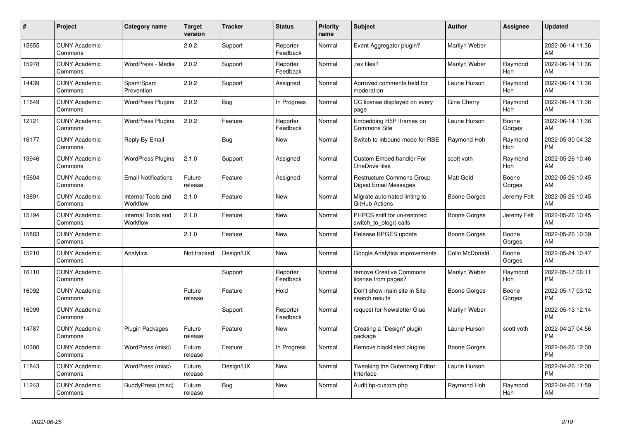| #     | Project                         | <b>Category name</b>           | <b>Target</b><br>version | <b>Tracker</b> | <b>Status</b>        | <b>Priority</b><br>name | <b>Subject</b>                                            | <b>Author</b>    | <b>Assignee</b>       | <b>Updated</b>                |
|-------|---------------------------------|--------------------------------|--------------------------|----------------|----------------------|-------------------------|-----------------------------------------------------------|------------------|-----------------------|-------------------------------|
| 15655 | <b>CUNY Academic</b><br>Commons |                                | 2.0.2                    | Support        | Reporter<br>Feedback | Normal                  | Event Aggregator plugin?                                  | Marilyn Weber    |                       | 2022-06-14 11:36<br>AM        |
| 15978 | <b>CUNY Academic</b><br>Commons | WordPress - Media              | 2.0.2                    | Support        | Reporter<br>Feedback | Normal                  | tex files?                                                | Marilyn Weber    | Raymond<br><b>Hoh</b> | 2022-06-14 11:36<br>AM        |
| 14439 | <b>CUNY Academic</b><br>Commons | Spam/Spam<br>Prevention        | 2.0.2                    | Support        | Assigned             | Normal                  | Aprroved comments held for<br>moderation                  | Laurie Hurson    | Raymond<br>Hoh        | 2022-06-14 11:36<br>AM        |
| 11649 | <b>CUNY Academic</b><br>Commons | <b>WordPress Plugins</b>       | 2.0.2                    | <b>Bug</b>     | In Progress          | Normal                  | CC license displayed on every<br>page                     | Gina Cherry      | Raymond<br>Hoh        | 2022-06-14 11:36<br>AM        |
| 12121 | <b>CUNY Academic</b><br>Commons | <b>WordPress Plugins</b>       | 2.0.2                    | Feature        | Reporter<br>Feedback | Normal                  | Embedding H5P Iframes on<br>Commons Site                  | Laurie Hurson    | Boone<br>Gorges       | 2022-06-14 11:36<br>AM        |
| 16177 | <b>CUNY Academic</b><br>Commons | Reply By Email                 |                          | <b>Bug</b>     | New                  | Normal                  | Switch to Inbound mode for RBE                            | Raymond Hoh      | Raymond<br>Hoh        | 2022-05-30 04:32<br>PM        |
| 13946 | <b>CUNY Academic</b><br>Commons | <b>WordPress Plugins</b>       | 2.1.0                    | Support        | Assigned             | Normal                  | Custom Embed handler For<br>OneDrive files                | scott voth       | Raymond<br>Hoh        | 2022-05-26 10:46<br>AM        |
| 15604 | <b>CUNY Academic</b><br>Commons | <b>Email Notifications</b>     | Future<br>release        | Feature        | Assigned             | Normal                  | <b>Restructure Commons Group</b><br>Digest Email Messages | <b>Matt Gold</b> | Boone<br>Gorges       | 2022-05-26 10:45<br>AM        |
| 13891 | <b>CUNY Academic</b><br>Commons | Internal Tools and<br>Workflow | 2.1.0                    | Feature        | <b>New</b>           | Normal                  | Migrate automated linting to<br>GitHub Actions            | Boone Gorges     | Jeremy Felt           | 2022-05-26 10:45<br>AM        |
| 15194 | <b>CUNY Academic</b><br>Commons | Internal Tools and<br>Workflow | 2.1.0                    | Feature        | <b>New</b>           | Normal                  | PHPCS sniff for un-restored<br>switch_to_blog() calls     | Boone Gorges     | Jeremy Felt           | 2022-05-26 10:45<br>AM        |
| 15883 | <b>CUNY Academic</b><br>Commons |                                | 2.1.0                    | Feature        | <b>New</b>           | Normal                  | Release BPGES update                                      | Boone Gorges     | Boone<br>Gorges       | 2022-05-26 10:39<br>AM        |
| 15210 | <b>CUNY Academic</b><br>Commons | Analytics                      | Not tracked              | Design/UX      | <b>New</b>           | Normal                  | Google Analytics improvements                             | Colin McDonald   | Boone<br>Gorges       | 2022-05-24 10:47<br>AM        |
| 16110 | <b>CUNY Academic</b><br>Commons |                                |                          | Support        | Reporter<br>Feedback | Normal                  | remove Creative Commons<br>license from pages?            | Marilyn Weber    | Raymond<br>Hoh        | 2022-05-17 06:11<br><b>PM</b> |
| 16092 | <b>CUNY Academic</b><br>Commons |                                | Future<br>release        | Feature        | Hold                 | Normal                  | Don't show main site in Site<br>search results            | Boone Gorges     | Boone<br>Gorges       | 2022-05-17 03:12<br><b>PM</b> |
| 16099 | <b>CUNY Academic</b><br>Commons |                                |                          | Support        | Reporter<br>Feedback | Normal                  | request for Newsletter Glue                               | Marilyn Weber    |                       | 2022-05-13 12:14<br><b>PM</b> |
| 14787 | <b>CUNY Academic</b><br>Commons | <b>Plugin Packages</b>         | Future<br>release        | Feature        | New                  | Normal                  | Creating a "Design" plugin<br>package                     | Laurie Hurson    | scott voth            | 2022-04-27 04:56<br><b>PM</b> |
| 10380 | <b>CUNY Academic</b><br>Commons | WordPress (misc)               | Future<br>release        | Feature        | In Progress          | Normal                  | Remove blacklisted plugins                                | Boone Gorges     |                       | 2022-04-26 12:00<br><b>PM</b> |
| 11843 | <b>CUNY Academic</b><br>Commons | WordPress (misc)               | Future<br>release        | Design/UX      | <b>New</b>           | Normal                  | Tweaking the Gutenberg Editor<br>Interface                | Laurie Hurson    |                       | 2022-04-26 12:00<br><b>PM</b> |
| 11243 | <b>CUNY Academic</b><br>Commons | BuddyPress (misc)              | Future<br>release        | Bug            | <b>New</b>           | Normal                  | Audit bp-custom.php                                       | Raymond Hoh      | Raymond<br><b>Hoh</b> | 2022-04-26 11:59<br>AM        |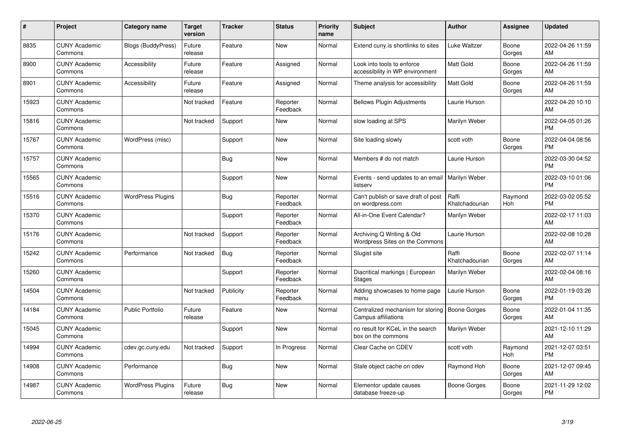| #     | Project                         | <b>Category name</b>      | <b>Target</b><br>version | <b>Tracker</b> | <b>Status</b>        | <b>Priority</b><br>name | <b>Subject</b>                                                | <b>Author</b>           | <b>Assignee</b>       | <b>Updated</b>                |
|-------|---------------------------------|---------------------------|--------------------------|----------------|----------------------|-------------------------|---------------------------------------------------------------|-------------------------|-----------------------|-------------------------------|
| 8835  | <b>CUNY Academic</b><br>Commons | <b>Blogs (BuddyPress)</b> | Future<br>release        | Feature        | <b>New</b>           | Normal                  | Extend cuny is shortlinks to sites                            | Luke Waltzer            | Boone<br>Gorges       | 2022-04-26 11:59<br>AM        |
| 8900  | <b>CUNY Academic</b><br>Commons | Accessibility             | Future<br>release        | Feature        | Assigned             | Normal                  | Look into tools to enforce<br>accessibility in WP environment | <b>Matt Gold</b>        | Boone<br>Gorges       | 2022-04-26 11:59<br>AM        |
| 8901  | <b>CUNY Academic</b><br>Commons | Accessibility             | Future<br>release        | Feature        | Assigned             | Normal                  | Theme analysis for accessibility                              | <b>Matt Gold</b>        | Boone<br>Gorges       | 2022-04-26 11:59<br>AM        |
| 15923 | <b>CUNY Academic</b><br>Commons |                           | Not tracked              | Feature        | Reporter<br>Feedback | Normal                  | <b>Bellows Plugin Adjustments</b>                             | Laurie Hurson           |                       | 2022-04-20 10:10<br>AM        |
| 15816 | <b>CUNY Academic</b><br>Commons |                           | Not tracked              | Support        | New                  | Normal                  | slow loading at SPS                                           | Marilyn Weber           |                       | 2022-04-05 01:26<br><b>PM</b> |
| 15767 | <b>CUNY Academic</b><br>Commons | WordPress (misc)          |                          | Support        | <b>New</b>           | Normal                  | Site loading slowly                                           | scott voth              | Boone<br>Gorges       | 2022-04-04 08:56<br><b>PM</b> |
| 15757 | <b>CUNY Academic</b><br>Commons |                           |                          | Bug            | New                  | Normal                  | Members # do not match                                        | Laurie Hurson           |                       | 2022-03-30 04:52<br><b>PM</b> |
| 15565 | <b>CUNY Academic</b><br>Commons |                           |                          | Support        | <b>New</b>           | Normal                  | Events - send updates to an email   Marilyn Weber<br>listserv |                         |                       | 2022-03-10 01:06<br><b>PM</b> |
| 15516 | <b>CUNY Academic</b><br>Commons | <b>WordPress Plugins</b>  |                          | Bug            | Reporter<br>Feedback | Normal                  | Can't publish or save draft of post<br>on wordpress.com       | Raffi<br>Khatchadourian | Raymond<br>Hoh        | 2022-03-02 05:52<br><b>PM</b> |
| 15370 | <b>CUNY Academic</b><br>Commons |                           |                          | Support        | Reporter<br>Feedback | Normal                  | All-in-One Event Calendar?                                    | Marilyn Weber           |                       | 2022-02-17 11:03<br>AM        |
| 15176 | <b>CUNY Academic</b><br>Commons |                           | Not tracked              | Support        | Reporter<br>Feedback | Normal                  | Archiving Q Writing & Old<br>Wordpress Sites on the Commons   | Laurie Hurson           |                       | 2022-02-08 10:28<br>AM        |
| 15242 | <b>CUNY Academic</b><br>Commons | Performance               | Not tracked              | Bug            | Reporter<br>Feedback | Normal                  | Slugist site                                                  | Raffi<br>Khatchadourian | Boone<br>Gorges       | 2022-02-07 11:14<br>AM        |
| 15260 | <b>CUNY Academic</b><br>Commons |                           |                          | Support        | Reporter<br>Feedback | Normal                  | Diacritical markings   European<br><b>Stages</b>              | Marilyn Weber           |                       | 2022-02-04 08:16<br>AM        |
| 14504 | <b>CUNY Academic</b><br>Commons |                           | Not tracked              | Publicity      | Reporter<br>Feedback | Normal                  | Adding showcases to home page<br>menu                         | Laurie Hurson           | Boone<br>Gorges       | 2022-01-19 03:26<br><b>PM</b> |
| 14184 | <b>CUNY Academic</b><br>Commons | <b>Public Portfolio</b>   | Future<br>release        | Feature        | <b>New</b>           | Normal                  | Centralized mechanism for storing<br>Campus affiliations      | <b>Boone Gorges</b>     | Boone<br>Gorges       | 2022-01-04 11:35<br>AM        |
| 15045 | <b>CUNY Academic</b><br>Commons |                           |                          | Support        | <b>New</b>           | Normal                  | no result for KCeL in the search<br>box on the commons        | Marilyn Weber           |                       | 2021-12-10 11:29<br>AM        |
| 14994 | <b>CUNY Academic</b><br>Commons | cdev.gc.cuny.edu          | Not tracked              | Support        | In Progress          | Normal                  | Clear Cache on CDEV                                           | scott voth              | Raymond<br><b>Hoh</b> | 2021-12-07 03:51<br><b>PM</b> |
| 14908 | <b>CUNY Academic</b><br>Commons | Performance               |                          | Bug            | <b>New</b>           | Normal                  | Stale object cache on cdev                                    | Raymond Hoh             | Boone<br>Gorges       | 2021-12-07 09:45<br>AM        |
| 14987 | <b>CUNY Academic</b><br>Commons | <b>WordPress Plugins</b>  | Future<br>release        | <b>Bug</b>     | <b>New</b>           | Normal                  | Elementor update causes<br>database freeze-up                 | Boone Gorges            | Boone<br>Gorges       | 2021-11-29 12:02<br>PM        |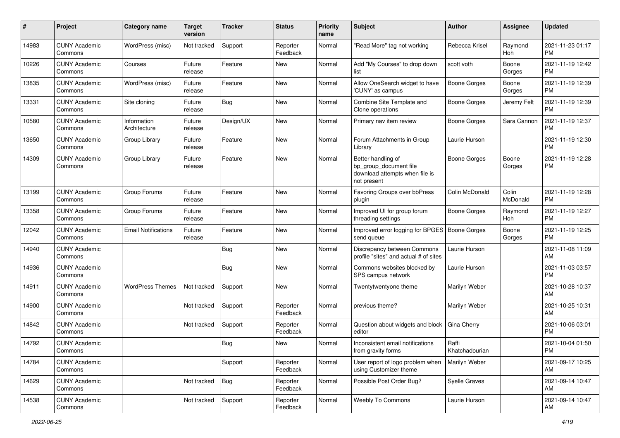| #     | Project                         | <b>Category name</b>        | <b>Target</b><br>version | <b>Tracker</b> | <b>Status</b>        | <b>Priority</b><br>name | <b>Subject</b>                                                                                | Author                  | Assignee          | <b>Updated</b>                |
|-------|---------------------------------|-----------------------------|--------------------------|----------------|----------------------|-------------------------|-----------------------------------------------------------------------------------------------|-------------------------|-------------------|-------------------------------|
| 14983 | <b>CUNY Academic</b><br>Commons | WordPress (misc)            | Not tracked              | Support        | Reporter<br>Feedback | Normal                  | "Read More" tag not working                                                                   | Rebecca Krisel          | Raymond<br>Hoh    | 2021-11-23 01:17<br><b>PM</b> |
| 10226 | <b>CUNY Academic</b><br>Commons | Courses                     | Future<br>release        | Feature        | New                  | Normal                  | Add "My Courses" to drop down<br>list                                                         | scott voth              | Boone<br>Gorges   | 2021-11-19 12:42<br><b>PM</b> |
| 13835 | <b>CUNY Academic</b><br>Commons | WordPress (misc)            | Future<br>release        | Feature        | New                  | Normal                  | Allow OneSearch widget to have<br>'CUNY' as campus                                            | <b>Boone Gorges</b>     | Boone<br>Gorges   | 2021-11-19 12:39<br><b>PM</b> |
| 13331 | <b>CUNY Academic</b><br>Commons | Site cloning                | Future<br>release        | Bug            | New                  | Normal                  | Combine Site Template and<br>Clone operations                                                 | Boone Gorges            | Jeremy Felt       | 2021-11-19 12:39<br><b>PM</b> |
| 10580 | <b>CUNY Academic</b><br>Commons | Information<br>Architecture | Future<br>release        | Design/UX      | <b>New</b>           | Normal                  | Primary nav item review                                                                       | Boone Gorges            | Sara Cannon       | 2021-11-19 12:37<br><b>PM</b> |
| 13650 | <b>CUNY Academic</b><br>Commons | Group Library               | Future<br>release        | Feature        | <b>New</b>           | Normal                  | Forum Attachments in Group<br>Library                                                         | Laurie Hurson           |                   | 2021-11-19 12:30<br><b>PM</b> |
| 14309 | <b>CUNY Academic</b><br>Commons | Group Library               | Future<br>release        | Feature        | New                  | Normal                  | Better handling of<br>bp_group_document file<br>download attempts when file is<br>not present | <b>Boone Gorges</b>     | Boone<br>Gorges   | 2021-11-19 12:28<br><b>PM</b> |
| 13199 | <b>CUNY Academic</b><br>Commons | Group Forums                | Future<br>release        | Feature        | <b>New</b>           | Normal                  | Favoring Groups over bbPress<br>plugin                                                        | Colin McDonald          | Colin<br>McDonald | 2021-11-19 12:28<br><b>PM</b> |
| 13358 | <b>CUNY Academic</b><br>Commons | Group Forums                | Future<br>release        | Feature        | New                  | Normal                  | Improved UI for group forum<br>threading settings                                             | <b>Boone Gorges</b>     | Raymond<br>Hoh    | 2021-11-19 12:27<br><b>PM</b> |
| 12042 | <b>CUNY Academic</b><br>Commons | <b>Email Notifications</b>  | Future<br>release        | Feature        | <b>New</b>           | Normal                  | Improved error logging for BPGES   Boone Gorges<br>send queue                                 |                         | Boone<br>Gorges   | 2021-11-19 12:25<br><b>PM</b> |
| 14940 | <b>CUNY Academic</b><br>Commons |                             |                          | <b>Bug</b>     | <b>New</b>           | Normal                  | Discrepancy between Commons<br>profile "sites" and actual # of sites                          | Laurie Hurson           |                   | 2021-11-08 11:09<br>AM        |
| 14936 | <b>CUNY Academic</b><br>Commons |                             |                          | Bug            | <b>New</b>           | Normal                  | Commons websites blocked by<br>SPS campus network                                             | Laurie Hurson           |                   | 2021-11-03 03:57<br><b>PM</b> |
| 14911 | <b>CUNY Academic</b><br>Commons | <b>WordPress Themes</b>     | Not tracked              | Support        | New                  | Normal                  | Twentytwentyone theme                                                                         | Marilyn Weber           |                   | 2021-10-28 10:37<br>AM        |
| 14900 | <b>CUNY Academic</b><br>Commons |                             | Not tracked              | Support        | Reporter<br>Feedback | Normal                  | previous theme?                                                                               | Marilyn Weber           |                   | 2021-10-25 10:31<br>AM        |
| 14842 | <b>CUNY Academic</b><br>Commons |                             | Not tracked              | Support        | Reporter<br>Feedback | Normal                  | Question about widgets and block<br>editor                                                    | Gina Cherry             |                   | 2021-10-06 03:01<br><b>PM</b> |
| 14792 | <b>CUNY Academic</b><br>Commons |                             |                          | Bug            | New                  | Normal                  | Inconsistent email notifications<br>from gravity forms                                        | Raffi<br>Khatchadourian |                   | 2021-10-04 01:50<br><b>PM</b> |
| 14784 | <b>CUNY Academic</b><br>Commons |                             |                          | Support        | Reporter<br>Feedback | Normal                  | User report of logo problem when<br>using Customizer theme                                    | Marilyn Weber           |                   | 2021-09-17 10:25<br>AM        |
| 14629 | <b>CUNY Academic</b><br>Commons |                             | Not tracked              | Bug            | Reporter<br>Feedback | Normal                  | Possible Post Order Bug?                                                                      | Syelle Graves           |                   | 2021-09-14 10:47<br>AM        |
| 14538 | <b>CUNY Academic</b><br>Commons |                             | Not tracked              | Support        | Reporter<br>Feedback | Normal                  | Weebly To Commons                                                                             | Laurie Hurson           |                   | 2021-09-14 10:47<br>AM        |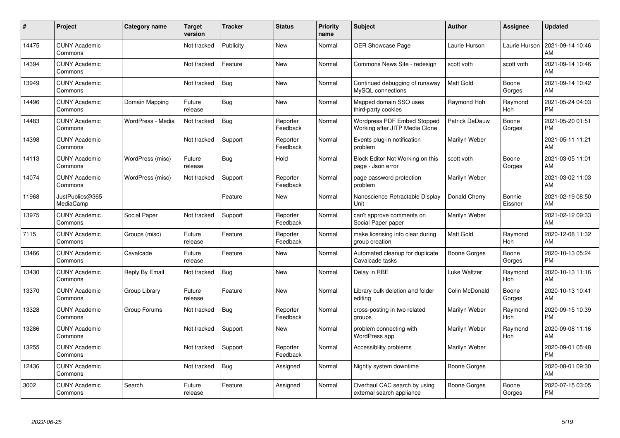| #     | Project                         | <b>Category name</b> | <b>Target</b><br>version | <b>Tracker</b> | <b>Status</b>        | <b>Priority</b><br>name | <b>Subject</b>                                                | <b>Author</b>         | <b>Assignee</b>       | <b>Updated</b>                |
|-------|---------------------------------|----------------------|--------------------------|----------------|----------------------|-------------------------|---------------------------------------------------------------|-----------------------|-----------------------|-------------------------------|
| 14475 | <b>CUNY Academic</b><br>Commons |                      | Not tracked              | Publicity      | <b>New</b>           | Normal                  | <b>OER Showcase Page</b>                                      | Laurie Hurson         | Laurie Hurson         | 2021-09-14 10:46<br>AM        |
| 14394 | <b>CUNY Academic</b><br>Commons |                      | Not tracked              | Feature        | <b>New</b>           | Normal                  | Commons News Site - redesign                                  | scott voth            | scott voth            | 2021-09-14 10:46<br>AM        |
| 13949 | <b>CUNY Academic</b><br>Commons |                      | Not tracked              | <b>Bug</b>     | <b>New</b>           | Normal                  | Continued debugging of runaway<br>MySQL connections           | <b>Matt Gold</b>      | Boone<br>Gorges       | 2021-09-14 10:42<br>AM        |
| 14496 | <b>CUNY Academic</b><br>Commons | Domain Mapping       | Future<br>release        | Bug            | <b>New</b>           | Normal                  | Mapped domain SSO uses<br>third-party cookies                 | Raymond Hoh           | Raymond<br><b>Hoh</b> | 2021-05-24 04:03<br><b>PM</b> |
| 14483 | <b>CUNY Academic</b><br>Commons | WordPress - Media    | Not tracked              | Bug            | Reporter<br>Feedback | Normal                  | Wordpress PDF Embed Stopped<br>Working after JITP Media Clone | <b>Patrick DeDauw</b> | Boone<br>Gorges       | 2021-05-20 01:51<br><b>PM</b> |
| 14398 | <b>CUNY Academic</b><br>Commons |                      | Not tracked              | Support        | Reporter<br>Feedback | Normal                  | Events plug-in notification<br>problem                        | Marilyn Weber         |                       | 2021-05-11 11:21<br>AM        |
| 14113 | <b>CUNY Academic</b><br>Commons | WordPress (misc)     | Future<br>release        | Bug            | Hold                 | Normal                  | Block Editor Not Working on this<br>page - Json error         | scott voth            | Boone<br>Gorges       | 2021-03-05 11:01<br>AM        |
| 14074 | <b>CUNY Academic</b><br>Commons | WordPress (misc)     | Not tracked              | Support        | Reporter<br>Feedback | Normal                  | page password protection<br>problem                           | Marilyn Weber         |                       | 2021-03-02 11:03<br>AM        |
| 11968 | JustPublics@365<br>MediaCamp    |                      |                          | Feature        | New                  | Normal                  | Nanoscience Retractable Display<br>Unit                       | Donald Cherry         | Bonnie<br>Eissner     | 2021-02-19 08:50<br>AM        |
| 13975 | <b>CUNY Academic</b><br>Commons | Social Paper         | Not tracked              | Support        | Reporter<br>Feedback | Normal                  | can't approve comments on<br>Social Paper paper               | Marilyn Weber         |                       | 2021-02-12 09:33<br>AM        |
| 7115  | <b>CUNY Academic</b><br>Commons | Groups (misc)        | Future<br>release        | Feature        | Reporter<br>Feedback | Normal                  | make licensing info clear during<br>group creation            | Matt Gold             | Raymond<br>Hoh        | 2020-12-08 11:32<br>AM        |
| 13466 | <b>CUNY Academic</b><br>Commons | Cavalcade            | Future<br>release        | Feature        | <b>New</b>           | Normal                  | Automated cleanup for duplicate<br>Cavalcade tasks            | Boone Gorges          | Boone<br>Gorges       | 2020-10-13 05:24<br><b>PM</b> |
| 13430 | <b>CUNY Academic</b><br>Commons | Reply By Email       | Not tracked              | <b>Bug</b>     | <b>New</b>           | Normal                  | Delay in RBE                                                  | Luke Waltzer          | Raymond<br>Hoh        | 2020-10-13 11:16<br>AM        |
| 13370 | <b>CUNY Academic</b><br>Commons | Group Library        | Future<br>release        | Feature        | <b>New</b>           | Normal                  | Library bulk deletion and folder<br>editing                   | Colin McDonald        | Boone<br>Gorges       | 2020-10-13 10:41<br>AM        |
| 13328 | <b>CUNY Academic</b><br>Commons | Group Forums         | Not tracked              | <b>Bug</b>     | Reporter<br>Feedback | Normal                  | cross-posting in two related<br>groups                        | Marilyn Weber         | Raymond<br>Hoh        | 2020-09-15 10:39<br><b>PM</b> |
| 13286 | <b>CUNY Academic</b><br>Commons |                      | Not tracked              | Support        | <b>New</b>           | Normal                  | problem connecting with<br>WordPress app                      | Marilyn Weber         | Raymond<br>Hoh        | 2020-09-08 11:16<br>AM        |
| 13255 | <b>CUNY Academic</b><br>Commons |                      | Not tracked              | Support        | Reporter<br>Feedback | Normal                  | Accessibility problems                                        | Marilyn Weber         |                       | 2020-09-01 05:48<br><b>PM</b> |
| 12436 | <b>CUNY Academic</b><br>Commons |                      | Not tracked              | Bug            | Assigned             | Normal                  | Nightly system downtime                                       | Boone Gorges          |                       | 2020-08-01 09:30<br>AM        |
| 3002  | <b>CUNY Academic</b><br>Commons | Search               | Future<br>release        | Feature        | Assigned             | Normal                  | Overhaul CAC search by using<br>external search appliance     | Boone Gorges          | Boone<br>Gorges       | 2020-07-15 03:05<br>PM        |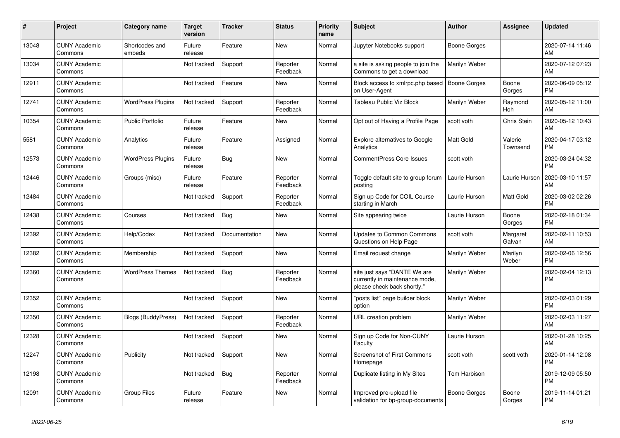| #     | Project                         | <b>Category name</b>     | Target<br>version | <b>Tracker</b> | <b>Status</b>        | <b>Priority</b><br>name | <b>Subject</b>                                                                                | <b>Author</b>       | <b>Assignee</b>     | <b>Updated</b>                |
|-------|---------------------------------|--------------------------|-------------------|----------------|----------------------|-------------------------|-----------------------------------------------------------------------------------------------|---------------------|---------------------|-------------------------------|
| 13048 | <b>CUNY Academic</b><br>Commons | Shortcodes and<br>embeds | Future<br>release | Feature        | <b>New</b>           | Normal                  | Jupyter Notebooks support                                                                     | Boone Gorges        |                     | 2020-07-14 11:46<br>AM        |
| 13034 | <b>CUNY Academic</b><br>Commons |                          | Not tracked       | Support        | Reporter<br>Feedback | Normal                  | a site is asking people to join the<br>Commons to get a download                              | Marilyn Weber       |                     | 2020-07-12 07:23<br>AM        |
| 12911 | <b>CUNY Academic</b><br>Commons |                          | Not tracked       | Feature        | <b>New</b>           | Normal                  | Block access to xmlrpc.php based<br>on User-Agent                                             | <b>Boone Gorges</b> | Boone<br>Gorges     | 2020-06-09 05:12<br><b>PM</b> |
| 12741 | <b>CUNY Academic</b><br>Commons | <b>WordPress Plugins</b> | Not tracked       | Support        | Reporter<br>Feedback | Normal                  | Tableau Public Viz Block                                                                      | Marilyn Weber       | Raymond<br>Hoh      | 2020-05-12 11:00<br>AM        |
| 10354 | <b>CUNY Academic</b><br>Commons | <b>Public Portfolio</b>  | Future<br>release | Feature        | New                  | Normal                  | Opt out of Having a Profile Page                                                              | scott voth          | Chris Stein         | 2020-05-12 10:43<br>AM        |
| 5581  | <b>CUNY Academic</b><br>Commons | Analytics                | Future<br>release | Feature        | Assigned             | Normal                  | <b>Explore alternatives to Google</b><br>Analytics                                            | <b>Matt Gold</b>    | Valerie<br>Townsend | 2020-04-17 03:12<br><b>PM</b> |
| 12573 | <b>CUNY Academic</b><br>Commons | <b>WordPress Plugins</b> | Future<br>release | Bug            | <b>New</b>           | Normal                  | <b>CommentPress Core Issues</b>                                                               | scott voth          |                     | 2020-03-24 04:32<br><b>PM</b> |
| 12446 | <b>CUNY Academic</b><br>Commons | Groups (misc)            | Future<br>release | Feature        | Reporter<br>Feedback | Normal                  | Toggle default site to group forum<br>posting                                                 | Laurie Hurson       | Laurie Hurson       | 2020-03-10 11:57<br>AM        |
| 12484 | <b>CUNY Academic</b><br>Commons |                          | Not tracked       | Support        | Reporter<br>Feedback | Normal                  | Sign up Code for COIL Course<br>starting in March                                             | Laurie Hurson       | Matt Gold           | 2020-03-02 02:26<br><b>PM</b> |
| 12438 | <b>CUNY Academic</b><br>Commons | Courses                  | Not tracked       | <b>Bug</b>     | New                  | Normal                  | Site appearing twice                                                                          | Laurie Hurson       | Boone<br>Gorges     | 2020-02-18 01:34<br><b>PM</b> |
| 12392 | <b>CUNY Academic</b><br>Commons | Help/Codex               | Not tracked       | Documentation  | <b>New</b>           | Normal                  | <b>Updates to Common Commons</b><br>Questions on Help Page                                    | scott voth          | Margaret<br>Galvan  | 2020-02-11 10:53<br>AM        |
| 12382 | <b>CUNY Academic</b><br>Commons | Membership               | Not tracked       | Support        | New                  | Normal                  | Email request change                                                                          | Marilyn Weber       | Marilyn<br>Weber    | 2020-02-06 12:56<br><b>PM</b> |
| 12360 | <b>CUNY Academic</b><br>Commons | <b>WordPress Themes</b>  | Not tracked       | <b>Bug</b>     | Reporter<br>Feedback | Normal                  | site just says "DANTE We are<br>currently in maintenance mode,<br>please check back shortly." | Marilyn Weber       |                     | 2020-02-04 12:13<br><b>PM</b> |
| 12352 | <b>CUNY Academic</b><br>Commons |                          | Not tracked       | Support        | New                  | Normal                  | "posts list" page builder block<br>option                                                     | Marilyn Weber       |                     | 2020-02-03 01:29<br><b>PM</b> |
| 12350 | <b>CUNY Academic</b><br>Commons | Blogs (BuddyPress)       | Not tracked       | Support        | Reporter<br>Feedback | Normal                  | URL creation problem                                                                          | Marilyn Weber       |                     | 2020-02-03 11:27<br>AM        |
| 12328 | <b>CUNY Academic</b><br>Commons |                          | Not tracked       | Support        | New                  | Normal                  | Sign up Code for Non-CUNY<br>Faculty                                                          | Laurie Hurson       |                     | 2020-01-28 10:25<br>AM        |
| 12247 | <b>CUNY Academic</b><br>Commons | Publicity                | Not tracked       | Support        | <b>New</b>           | Normal                  | <b>Screenshot of First Commons</b><br>Homepage                                                | scott voth          | scott voth          | 2020-01-14 12:08<br><b>PM</b> |
| 12198 | <b>CUNY Academic</b><br>Commons |                          | Not tracked       | Bug            | Reporter<br>Feedback | Normal                  | Duplicate listing in My Sites                                                                 | Tom Harbison        |                     | 2019-12-09 05:50<br><b>PM</b> |
| 12091 | <b>CUNY Academic</b><br>Commons | <b>Group Files</b>       | Future<br>release | Feature        | <b>New</b>           | Normal                  | Improved pre-upload file<br>validation for bp-group-documents                                 | Boone Gorges        | Boone<br>Gorges     | 2019-11-14 01:21<br><b>PM</b> |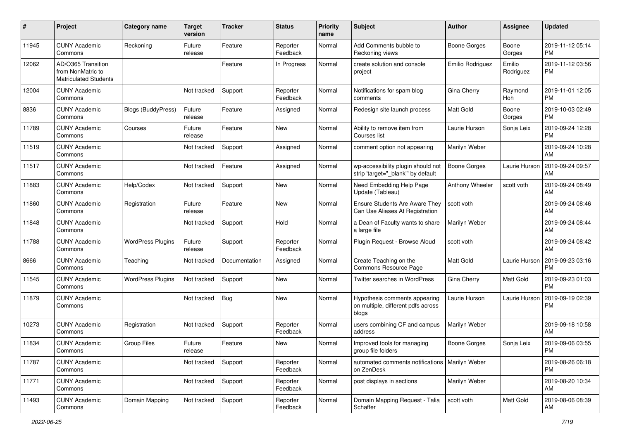| #     | Project                                                                 | <b>Category name</b>     | <b>Target</b><br>version | <b>Tracker</b> | <b>Status</b>        | <b>Priority</b><br>name | Subject                                                                      | <b>Author</b>       | Assignee            | <b>Updated</b>                |
|-------|-------------------------------------------------------------------------|--------------------------|--------------------------|----------------|----------------------|-------------------------|------------------------------------------------------------------------------|---------------------|---------------------|-------------------------------|
| 11945 | <b>CUNY Academic</b><br>Commons                                         | Reckoning                | Future<br>release        | Feature        | Reporter<br>Feedback | Normal                  | Add Comments bubble to<br>Reckoning views                                    | <b>Boone Gorges</b> | Boone<br>Gorges     | 2019-11-12 05:14<br>PM        |
| 12062 | AD/O365 Transition<br>from NonMatric to<br><b>Matriculated Students</b> |                          |                          | Feature        | In Progress          | Normal                  | create solution and console<br>project                                       | Emilio Rodriguez    | Emilio<br>Rodriguez | 2019-11-12 03:56<br>PM        |
| 12004 | <b>CUNY Academic</b><br>Commons                                         |                          | Not tracked              | Support        | Reporter<br>Feedback | Normal                  | Notifications for spam blog<br>comments                                      | Gina Cherry         | Raymond<br>Hoh      | 2019-11-01 12:05<br><b>PM</b> |
| 8836  | <b>CUNY Academic</b><br>Commons                                         | Blogs (BuddyPress)       | Future<br>release        | Feature        | Assigned             | Normal                  | Redesign site launch process                                                 | <b>Matt Gold</b>    | Boone<br>Gorges     | 2019-10-03 02:49<br>PM        |
| 11789 | <b>CUNY Academic</b><br>Commons                                         | Courses                  | Future<br>release        | Feature        | New                  | Normal                  | Ability to remove item from<br>Courses list                                  | Laurie Hurson       | Sonja Leix          | 2019-09-24 12:28<br><b>PM</b> |
| 11519 | <b>CUNY Academic</b><br>Commons                                         |                          | Not tracked              | Support        | Assigned             | Normal                  | comment option not appearing                                                 | Marilyn Weber       |                     | 2019-09-24 10:28<br>AM        |
| 11517 | <b>CUNY Academic</b><br>Commons                                         |                          | Not tracked              | Feature        | Assigned             | Normal                  | wp-accessibility plugin should not<br>strip 'target="_blank"' by default     | <b>Boone Gorges</b> | Laurie Hurson       | 2019-09-24 09:57<br>AM        |
| 11883 | <b>CUNY Academic</b><br>Commons                                         | Help/Codex               | Not tracked              | Support        | New                  | Normal                  | Need Embedding Help Page<br>Update (Tableau)                                 | Anthony Wheeler     | scott voth          | 2019-09-24 08:49<br>AM        |
| 11860 | <b>CUNY Academic</b><br>Commons                                         | Registration             | Future<br>release        | Feature        | <b>New</b>           | Normal                  | <b>Ensure Students Are Aware They</b><br>Can Use Aliases At Registration     | scott voth          |                     | 2019-09-24 08:46<br>AM        |
| 11848 | <b>CUNY Academic</b><br>Commons                                         |                          | Not tracked              | Support        | Hold                 | Normal                  | a Dean of Faculty wants to share<br>a large file                             | Marilyn Weber       |                     | 2019-09-24 08:44<br>AM        |
| 11788 | <b>CUNY Academic</b><br>Commons                                         | <b>WordPress Plugins</b> | Future<br>release        | Support        | Reporter<br>Feedback | Normal                  | Plugin Request - Browse Aloud                                                | scott voth          |                     | 2019-09-24 08:42<br>AM        |
| 8666  | <b>CUNY Academic</b><br>Commons                                         | Teaching                 | Not tracked              | Documentation  | Assigned             | Normal                  | Create Teaching on the<br>Commons Resource Page                              | <b>Matt Gold</b>    | Laurie Hurson       | 2019-09-23 03:16<br><b>PM</b> |
| 11545 | <b>CUNY Academic</b><br>Commons                                         | <b>WordPress Plugins</b> | Not tracked              | Support        | New                  | Normal                  | Twitter searches in WordPress                                                | Gina Cherry         | Matt Gold           | 2019-09-23 01:03<br><b>PM</b> |
| 11879 | <b>CUNY Academic</b><br>Commons                                         |                          | Not tracked              | Bug            | <b>New</b>           | Normal                  | Hypothesis comments appearing<br>on multiple, different pdfs across<br>blogs | Laurie Hurson       | Laurie Hurson       | 2019-09-19 02:39<br>PM        |
| 10273 | <b>CUNY Academic</b><br>Commons                                         | Registration             | Not tracked              | Support        | Reporter<br>Feedback | Normal                  | users combining CF and campus<br>address                                     | Marilyn Weber       |                     | 2019-09-18 10:58<br>AM        |
| 11834 | <b>CUNY Academic</b><br>Commons                                         | Group Files              | Future<br>release        | Feature        | New                  | Normal                  | Improved tools for managing<br>group file folders                            | <b>Boone Gorges</b> | Sonja Leix          | 2019-09-06 03:55<br>PM        |
| 11787 | <b>CUNY Academic</b><br>Commons                                         |                          | Not tracked              | Support        | Reporter<br>Feedback | Normal                  | automated comments notifications   Marilyn Weber<br>on ZenDesk               |                     |                     | 2019-08-26 06:18<br>PM        |
| 11771 | <b>CUNY Academic</b><br>Commons                                         |                          | Not tracked              | Support        | Reporter<br>Feedback | Normal                  | post displays in sections                                                    | Marilyn Weber       |                     | 2019-08-20 10:34<br>AM        |
| 11493 | <b>CUNY Academic</b><br>Commons                                         | Domain Mapping           | Not tracked              | Support        | Reporter<br>Feedback | Normal                  | Domain Mapping Request - Talia<br>Schaffer                                   | scott voth          | Matt Gold           | 2019-08-06 08:39<br>AM        |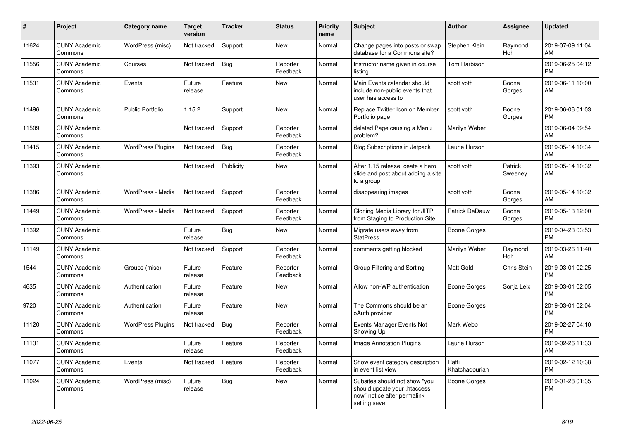| #     | Project                         | <b>Category name</b>     | <b>Target</b><br>version | <b>Tracker</b> | <b>Status</b>        | <b>Priority</b><br>name | <b>Subject</b>                                                                                               | <b>Author</b>           | Assignee           | <b>Updated</b>                |
|-------|---------------------------------|--------------------------|--------------------------|----------------|----------------------|-------------------------|--------------------------------------------------------------------------------------------------------------|-------------------------|--------------------|-------------------------------|
| 11624 | <b>CUNY Academic</b><br>Commons | WordPress (misc)         | Not tracked              | Support        | <b>New</b>           | Normal                  | Change pages into posts or swap<br>database for a Commons site?                                              | Stephen Klein           | Raymond<br>Hoh     | 2019-07-09 11:04<br>AM        |
| 11556 | <b>CUNY Academic</b><br>Commons | Courses                  | Not tracked              | Bug            | Reporter<br>Feedback | Normal                  | Instructor name given in course<br>listing                                                                   | Tom Harbison            |                    | 2019-06-25 04:12<br><b>PM</b> |
| 11531 | <b>CUNY Academic</b><br>Commons | Events                   | Future<br>release        | Feature        | <b>New</b>           | Normal                  | Main Events calendar should<br>include non-public events that<br>user has access to                          | scott voth              | Boone<br>Gorges    | 2019-06-11 10:00<br>AM        |
| 11496 | <b>CUNY Academic</b><br>Commons | <b>Public Portfolio</b>  | 1.15.2                   | Support        | <b>New</b>           | Normal                  | Replace Twitter Icon on Member<br>Portfolio page                                                             | scott voth              | Boone<br>Gorges    | 2019-06-06 01:03<br><b>PM</b> |
| 11509 | <b>CUNY Academic</b><br>Commons |                          | Not tracked              | Support        | Reporter<br>Feedback | Normal                  | deleted Page causing a Menu<br>problem?                                                                      | Marilyn Weber           |                    | 2019-06-04 09:54<br>AM        |
| 11415 | <b>CUNY Academic</b><br>Commons | <b>WordPress Plugins</b> | Not tracked              | Bug            | Reporter<br>Feedback | Normal                  | Blog Subscriptions in Jetpack                                                                                | Laurie Hurson           |                    | 2019-05-14 10:34<br>AM        |
| 11393 | <b>CUNY Academic</b><br>Commons |                          | Not tracked              | Publicity      | New                  | Normal                  | After 1.15 release, ceate a hero<br>slide and post about adding a site<br>to a group                         | scott voth              | Patrick<br>Sweeney | 2019-05-14 10:32<br>AM        |
| 11386 | <b>CUNY Academic</b><br>Commons | WordPress - Media        | Not tracked              | Support        | Reporter<br>Feedback | Normal                  | disappearing images                                                                                          | scott voth              | Boone<br>Gorges    | 2019-05-14 10:32<br>AM        |
| 11449 | <b>CUNY Academic</b><br>Commons | WordPress - Media        | Not tracked              | Support        | Reporter<br>Feedback | Normal                  | Cloning Media Library for JITP<br>from Staging to Production Site                                            | <b>Patrick DeDauw</b>   | Boone<br>Gorges    | 2019-05-13 12:00<br><b>PM</b> |
| 11392 | <b>CUNY Academic</b><br>Commons |                          | Future<br>release        | <b>Bug</b>     | <b>New</b>           | Normal                  | Migrate users away from<br><b>StatPress</b>                                                                  | <b>Boone Gorges</b>     |                    | 2019-04-23 03:53<br><b>PM</b> |
| 11149 | <b>CUNY Academic</b><br>Commons |                          | Not tracked              | Support        | Reporter<br>Feedback | Normal                  | comments getting blocked                                                                                     | Marilyn Weber           | Raymond<br>Hoh     | 2019-03-26 11:40<br>AM        |
| 1544  | <b>CUNY Academic</b><br>Commons | Groups (misc)            | Future<br>release        | Feature        | Reporter<br>Feedback | Normal                  | Group Filtering and Sorting                                                                                  | Matt Gold               | Chris Stein        | 2019-03-01 02:25<br><b>PM</b> |
| 4635  | <b>CUNY Academic</b><br>Commons | Authentication           | Future<br>release        | Feature        | <b>New</b>           | Normal                  | Allow non-WP authentication                                                                                  | Boone Gorges            | Sonja Leix         | 2019-03-01 02:05<br><b>PM</b> |
| 9720  | <b>CUNY Academic</b><br>Commons | Authentication           | Future<br>release        | Feature        | <b>New</b>           | Normal                  | The Commons should be an<br>oAuth provider                                                                   | <b>Boone Gorges</b>     |                    | 2019-03-01 02:04<br><b>PM</b> |
| 11120 | <b>CUNY Academic</b><br>Commons | <b>WordPress Plugins</b> | Not tracked              | Bug            | Reporter<br>Feedback | Normal                  | Events Manager Events Not<br>Showing Up                                                                      | Mark Webb               |                    | 2019-02-27 04:10<br><b>PM</b> |
| 11131 | <b>CUNY Academic</b><br>Commons |                          | Future<br>release        | Feature        | Reporter<br>Feedback | Normal                  | <b>Image Annotation Plugins</b>                                                                              | Laurie Hurson           |                    | 2019-02-26 11:33<br>AM        |
| 11077 | <b>CUNY Academic</b><br>Commons | Events                   | Not tracked              | Feature        | Reporter<br>Feedback | Normal                  | Show event category description<br>in event list view                                                        | Raffi<br>Khatchadourian |                    | 2019-02-12 10:38<br><b>PM</b> |
| 11024 | <b>CUNY Academic</b><br>Commons | WordPress (misc)         | Future<br>release        | Bug            | New                  | Normal                  | Subsites should not show "you<br>should update your .htaccess<br>now" notice after permalink<br>setting save | <b>Boone Gorges</b>     |                    | 2019-01-28 01:35<br>PM        |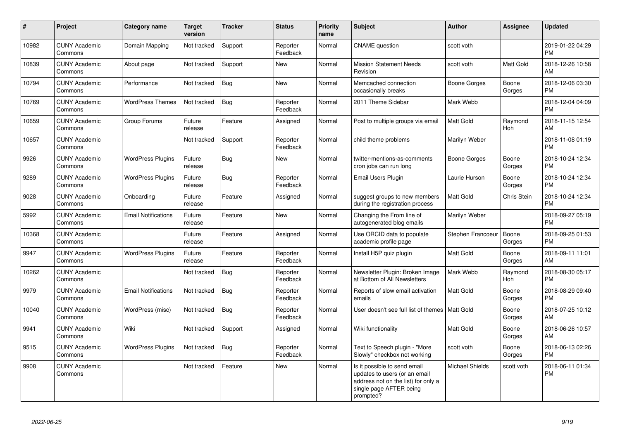| $\#$  | Project                         | <b>Category name</b>       | <b>Target</b><br>version | <b>Tracker</b> | <b>Status</b>        | <b>Priority</b><br>name | <b>Subject</b>                                                                                                                               | <b>Author</b>          | <b>Assignee</b>       | <b>Updated</b>                |
|-------|---------------------------------|----------------------------|--------------------------|----------------|----------------------|-------------------------|----------------------------------------------------------------------------------------------------------------------------------------------|------------------------|-----------------------|-------------------------------|
| 10982 | <b>CUNY Academic</b><br>Commons | Domain Mapping             | Not tracked              | Support        | Reporter<br>Feedback | Normal                  | <b>CNAME</b> question                                                                                                                        | scott voth             |                       | 2019-01-22 04:29<br><b>PM</b> |
| 10839 | <b>CUNY Academic</b><br>Commons | About page                 | Not tracked              | Support        | <b>New</b>           | Normal                  | <b>Mission Statement Needs</b><br>Revision                                                                                                   | scott voth             | <b>Matt Gold</b>      | 2018-12-26 10:58<br>AM        |
| 10794 | <b>CUNY Academic</b><br>Commons | Performance                | Not tracked              | <b>Bug</b>     | <b>New</b>           | Normal                  | Memcached connection<br>occasionally breaks                                                                                                  | <b>Boone Gorges</b>    | Boone<br>Gorges       | 2018-12-06 03:30<br><b>PM</b> |
| 10769 | <b>CUNY Academic</b><br>Commons | <b>WordPress Themes</b>    | Not tracked              | Bug            | Reporter<br>Feedback | Normal                  | 2011 Theme Sidebar                                                                                                                           | Mark Webb              |                       | 2018-12-04 04:09<br><b>PM</b> |
| 10659 | <b>CUNY Academic</b><br>Commons | Group Forums               | Future<br>release        | Feature        | Assigned             | Normal                  | Post to multiple groups via email                                                                                                            | Matt Gold              | Raymond<br>Hoh        | 2018-11-15 12:54<br>AM        |
| 10657 | <b>CUNY Academic</b><br>Commons |                            | Not tracked              | Support        | Reporter<br>Feedback | Normal                  | child theme problems                                                                                                                         | Marilyn Weber          |                       | 2018-11-08 01:19<br><b>PM</b> |
| 9926  | <b>CUNY Academic</b><br>Commons | <b>WordPress Plugins</b>   | Future<br>release        | Bug            | <b>New</b>           | Normal                  | twitter-mentions-as-comments<br>cron jobs can run long                                                                                       | Boone Gorges           | Boone<br>Gorges       | 2018-10-24 12:34<br><b>PM</b> |
| 9289  | <b>CUNY Academic</b><br>Commons | <b>WordPress Plugins</b>   | Future<br>release        | Bug            | Reporter<br>Feedback | Normal                  | Email Users Plugin                                                                                                                           | Laurie Hurson          | Boone<br>Gorges       | 2018-10-24 12:34<br><b>PM</b> |
| 9028  | <b>CUNY Academic</b><br>Commons | Onboarding                 | Future<br>release        | Feature        | Assigned             | Normal                  | suggest groups to new members<br>during the registration process                                                                             | <b>Matt Gold</b>       | Chris Stein           | 2018-10-24 12:34<br><b>PM</b> |
| 5992  | <b>CUNY Academic</b><br>Commons | <b>Email Notifications</b> | Future<br>release        | Feature        | <b>New</b>           | Normal                  | Changing the From line of<br>autogenerated blog emails                                                                                       | Marilyn Weber          |                       | 2018-09-27 05:19<br><b>PM</b> |
| 10368 | <b>CUNY Academic</b><br>Commons |                            | Future<br>release        | Feature        | Assigned             | Normal                  | Use ORCID data to populate<br>academic profile page                                                                                          | Stephen Francoeur      | Boone<br>Gorges       | 2018-09-25 01:53<br><b>PM</b> |
| 9947  | <b>CUNY Academic</b><br>Commons | <b>WordPress Plugins</b>   | Future<br>release        | Feature        | Reporter<br>Feedback | Normal                  | Install H5P quiz plugin                                                                                                                      | <b>Matt Gold</b>       | Boone<br>Gorges       | 2018-09-11 11:01<br>AM        |
| 10262 | <b>CUNY Academic</b><br>Commons |                            | Not tracked              | Bug            | Reporter<br>Feedback | Normal                  | Newsletter Plugin: Broken Image<br>at Bottom of All Newsletters                                                                              | Mark Webb              | Raymond<br><b>Hoh</b> | 2018-08-30 05:17<br><b>PM</b> |
| 9979  | <b>CUNY Academic</b><br>Commons | <b>Email Notifications</b> | Not tracked              | Bug            | Reporter<br>Feedback | Normal                  | Reports of slow email activation<br>emails                                                                                                   | <b>Matt Gold</b>       | Boone<br>Gorges       | 2018-08-29 09:40<br>PM        |
| 10040 | <b>CUNY Academic</b><br>Commons | WordPress (misc)           | Not tracked              | <b>Bug</b>     | Reporter<br>Feedback | Normal                  | User doesn't see full list of themes   Matt Gold                                                                                             |                        | Boone<br>Gorges       | 2018-07-25 10:12<br>AM        |
| 9941  | <b>CUNY Academic</b><br>Commons | Wiki                       | Not tracked              | Support        | Assigned             | Normal                  | Wiki functionality                                                                                                                           | <b>Matt Gold</b>       | Boone<br>Gorges       | 2018-06-26 10:57<br>AM        |
| 9515  | <b>CUNY Academic</b><br>Commons | <b>WordPress Plugins</b>   | Not tracked              | <b>Bug</b>     | Reporter<br>Feedback | Normal                  | Text to Speech plugin - "More<br>Slowly" checkbox not working                                                                                | scott voth             | Boone<br>Gorges       | 2018-06-13 02:26<br><b>PM</b> |
| 9908  | <b>CUNY Academic</b><br>Commons |                            | Not tracked              | Feature        | <b>New</b>           | Normal                  | Is it possible to send email<br>updates to users (or an email<br>address not on the list) for only a<br>single page AFTER being<br>prompted? | <b>Michael Shields</b> | scott voth            | 2018-06-11 01:34<br><b>PM</b> |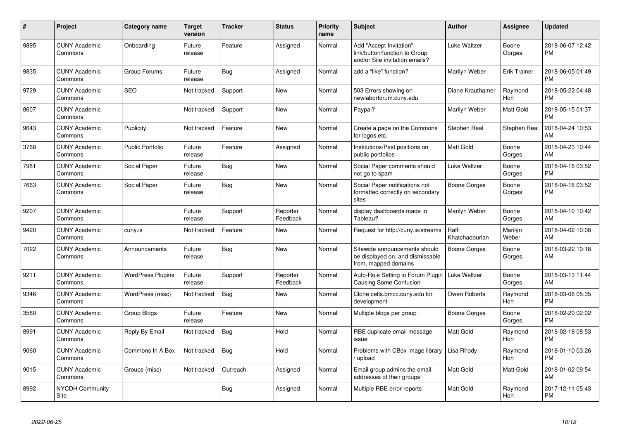| $\#$ | <b>Project</b>                  | <b>Category name</b>     | <b>Target</b><br>version | Tracker    | <b>Status</b>        | Priority<br>name | <b>Subject</b>                                                                             | <b>Author</b>           | Assignee              | <b>Updated</b>                |
|------|---------------------------------|--------------------------|--------------------------|------------|----------------------|------------------|--------------------------------------------------------------------------------------------|-------------------------|-----------------------|-------------------------------|
| 9895 | <b>CUNY Academic</b><br>Commons | Onboarding               | Future<br>release        | Feature    | Assigned             | Normal           | Add "Accept Invitation"<br>link/button/function to Group<br>and/or Site invitation emails? | <b>Luke Waltzer</b>     | Boone<br>Gorges       | 2018-06-07 12:42<br><b>PM</b> |
| 9835 | <b>CUNY Academic</b><br>Commons | Group Forums             | Future<br>release        | Bug        | Assigned             | Normal           | add a "like" function?                                                                     | Marilyn Weber           | <b>Erik Trainer</b>   | 2018-06-05 01:49<br><b>PM</b> |
| 9729 | <b>CUNY Academic</b><br>Commons | <b>SEO</b>               | Not tracked              | Support    | <b>New</b>           | Normal           | 503 Errors showing on<br>newlaborforum.cuny.edu                                            | Diane Krauthamer        | Raymond<br><b>Hoh</b> | 2018-05-22 04:48<br><b>PM</b> |
| 8607 | <b>CUNY Academic</b><br>Commons |                          | Not tracked              | Support    | New                  | Normal           | Paypal?                                                                                    | Marilyn Weber           | Matt Gold             | 2018-05-15 01:37<br><b>PM</b> |
| 9643 | <b>CUNY Academic</b><br>Commons | Publicity                | Not tracked              | Feature    | New                  | Normal           | Create a page on the Commons<br>for logos etc.                                             | Stephen Real            | Stephen Real          | 2018-04-24 10:53<br>AM        |
| 3768 | <b>CUNY Academic</b><br>Commons | <b>Public Portfolio</b>  | Future<br>release        | Feature    | Assigned             | Normal           | Institutions/Past positions on<br>public portfolios                                        | Matt Gold               | Boone<br>Gorges       | 2018-04-23 10:44<br>AM        |
| 7981 | <b>CUNY Academic</b><br>Commons | Social Paper             | Future<br>release        | Bug        | New                  | Normal           | Social Paper comments should<br>not go to spam                                             | <b>Luke Waltzer</b>     | Boone<br>Gorges       | 2018-04-16 03:52<br><b>PM</b> |
| 7663 | <b>CUNY Academic</b><br>Commons | Social Paper             | Future<br>release        | Bug        | <b>New</b>           | Normal           | Social Paper notifications not<br>formatted correctly on secondary<br>sites                | <b>Boone Gorges</b>     | Boone<br>Gorges       | 2018-04-16 03:52<br><b>PM</b> |
| 9207 | <b>CUNY Academic</b><br>Commons |                          | Future<br>release        | Support    | Reporter<br>Feedback | Normal           | display dashboards made in<br>Tableau?                                                     | Marilyn Weber           | Boone<br>Gorges       | 2018-04-10 10:42<br>AM        |
| 9420 | <b>CUNY Academic</b><br>Commons | cuny.is                  | Not tracked              | Feature    | New                  | Normal           | Request for http://cuny.is/streams                                                         | Raffi<br>Khatchadourian | Marilyn<br>Weber      | 2018-04-02 10:08<br>AM        |
| 7022 | <b>CUNY Academic</b><br>Commons | Announcements            | Future<br>release        | Bug        | <b>New</b>           | Normal           | Sitewide announcements should<br>be displayed on, and dismissable<br>from, mapped domains  | <b>Boone Gorges</b>     | Boone<br>Gorges       | 2018-03-22 10:18<br>AM        |
| 9211 | <b>CUNY Academic</b><br>Commons | <b>WordPress Plugins</b> | Future<br>release        | Support    | Reporter<br>Feedback | Normal           | Auto-Role Setting in Forum Plugin<br><b>Causing Some Confusion</b>                         | <b>Luke Waltzer</b>     | Boone<br>Gorges       | 2018-03-13 11:44<br>AM        |
| 9346 | <b>CUNY Academic</b><br>Commons | WordPress (misc)         | Not tracked              | <b>Bug</b> | New                  | Normal           | Clone cetls.bmcc.cuny.edu for<br>development                                               | Owen Roberts            | Raymond<br><b>Hoh</b> | 2018-03-06 05:35<br><b>PM</b> |
| 3580 | <b>CUNY Academic</b><br>Commons | Group Blogs              | Future<br>release        | Feature    | <b>New</b>           | Normal           | Multiple blogs per group                                                                   | Boone Gorges            | Boone<br>Gorges       | 2018-02-20 02:02<br><b>PM</b> |
| 8991 | <b>CUNY Academic</b><br>Commons | Reply By Email           | Not tracked              | Bug        | Hold                 | Normal           | RBE duplicate email message<br>issue                                                       | Matt Gold               | Raymond<br>Hoh        | 2018-02-18 08:53<br><b>PM</b> |
| 9060 | <b>CUNY Academic</b><br>Commons | Commons In A Box         | Not tracked              | <b>Bug</b> | Hold                 | Normal           | Problems with CBox image library<br>upload                                                 | Lisa Rhody              | Raymond<br><b>Hoh</b> | 2018-01-10 03:26<br><b>PM</b> |
| 9015 | <b>CUNY Academic</b><br>Commons | Groups (misc)            | Not tracked              | Outreach   | Assigned             | Normal           | Email group admins the email<br>addresses of their groups                                  | Matt Gold               | Matt Gold             | 2018-01-02 09:54<br>AM        |
| 8992 | <b>NYCDH Community</b><br>Site  |                          |                          | <b>Bug</b> | Assigned             | Normal           | Multiple RBE error reports                                                                 | Matt Gold               | Raymond<br>Hoh        | 2017-12-11 05:43<br><b>PM</b> |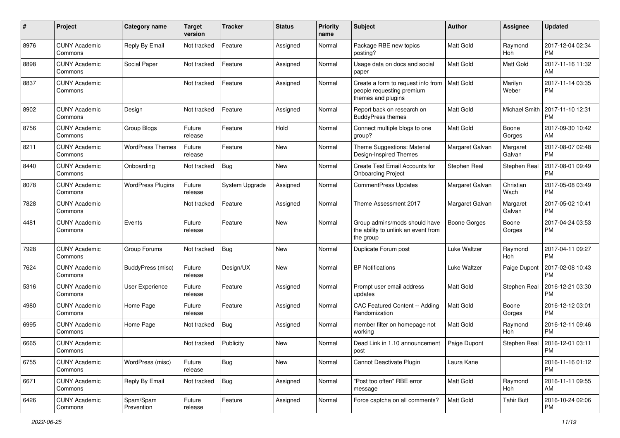| #    | Project                         | <b>Category name</b>     | <b>Target</b><br>version | <b>Tracker</b> | <b>Status</b> | <b>Priority</b><br>name | <b>Subject</b>                                                                        | Author              | Assignee           | <b>Updated</b>                |
|------|---------------------------------|--------------------------|--------------------------|----------------|---------------|-------------------------|---------------------------------------------------------------------------------------|---------------------|--------------------|-------------------------------|
| 8976 | <b>CUNY Academic</b><br>Commons | Reply By Email           | Not tracked              | Feature        | Assigned      | Normal                  | Package RBE new topics<br>posting?                                                    | <b>Matt Gold</b>    | Raymond<br>Hoh     | 2017-12-04 02:34<br><b>PM</b> |
| 8898 | <b>CUNY Academic</b><br>Commons | Social Paper             | Not tracked              | Feature        | Assigned      | Normal                  | Usage data on docs and social<br>paper                                                | Matt Gold           | <b>Matt Gold</b>   | 2017-11-16 11:32<br>AM        |
| 8837 | <b>CUNY Academic</b><br>Commons |                          | Not tracked              | Feature        | Assigned      | Normal                  | Create a form to request info from<br>people requesting premium<br>themes and plugins | <b>Matt Gold</b>    | Marilyn<br>Weber   | 2017-11-14 03:35<br><b>PM</b> |
| 8902 | <b>CUNY Academic</b><br>Commons | Design                   | Not tracked              | Feature        | Assigned      | Normal                  | Report back on research on<br><b>BuddyPress themes</b>                                | <b>Matt Gold</b>    | Michael Smith      | 2017-11-10 12:31<br><b>PM</b> |
| 8756 | <b>CUNY Academic</b><br>Commons | Group Blogs              | Future<br>release        | Feature        | Hold          | Normal                  | Connect multiple blogs to one<br>group?                                               | Matt Gold           | Boone<br>Gorges    | 2017-09-30 10:42<br>AM        |
| 8211 | <b>CUNY Academic</b><br>Commons | <b>WordPress Themes</b>  | Future<br>release        | Feature        | <b>New</b>    | Normal                  | Theme Suggestions: Material<br>Design-Inspired Themes                                 | Margaret Galvan     | Margaret<br>Galvan | 2017-08-07 02:48<br><b>PM</b> |
| 8440 | <b>CUNY Academic</b><br>Commons | Onboarding               | Not tracked              | Bug            | <b>New</b>    | Normal                  | Create Test Email Accounts for<br><b>Onboarding Project</b>                           | Stephen Real        | Stephen Real       | 2017-08-01 09:49<br><b>PM</b> |
| 8078 | <b>CUNY Academic</b><br>Commons | <b>WordPress Plugins</b> | Future<br>release        | System Upgrade | Assigned      | Normal                  | <b>CommentPress Updates</b>                                                           | Margaret Galvan     | Christian<br>Wach  | 2017-05-08 03:49<br><b>PM</b> |
| 7828 | <b>CUNY Academic</b><br>Commons |                          | Not tracked              | Feature        | Assigned      | Normal                  | Theme Assessment 2017                                                                 | Margaret Galvan     | Margaret<br>Galvan | 2017-05-02 10:41<br><b>PM</b> |
| 4481 | <b>CUNY Academic</b><br>Commons | Events                   | Future<br>release        | Feature        | New           | Normal                  | Group admins/mods should have<br>the ability to unlink an event from<br>the group     | <b>Boone Gorges</b> | Boone<br>Gorges    | 2017-04-24 03:53<br><b>PM</b> |
| 7928 | <b>CUNY Academic</b><br>Commons | Group Forums             | Not tracked              | <b>Bug</b>     | <b>New</b>    | Normal                  | Duplicate Forum post                                                                  | Luke Waltzer        | Raymond<br>Hoh     | 2017-04-11 09:27<br><b>PM</b> |
| 7624 | <b>CUNY Academic</b><br>Commons | BuddyPress (misc)        | Future<br>release        | Design/UX      | <b>New</b>    | Normal                  | <b>BP Notifications</b>                                                               | Luke Waltzer        | Paige Dupont       | 2017-02-08 10:43<br><b>PM</b> |
| 5316 | <b>CUNY Academic</b><br>Commons | User Experience          | Future<br>release        | Feature        | Assigned      | Normal                  | Prompt user email address<br>updates                                                  | Matt Gold           | Stephen Real       | 2016-12-21 03:30<br><b>PM</b> |
| 4980 | <b>CUNY Academic</b><br>Commons | Home Page                | Future<br>release        | Feature        | Assigned      | Normal                  | CAC Featured Content -- Adding<br>Randomization                                       | <b>Matt Gold</b>    | Boone<br>Gorges    | 2016-12-12 03:01<br><b>PM</b> |
| 6995 | <b>CUNY Academic</b><br>Commons | Home Page                | Not tracked              | <b>Bug</b>     | Assigned      | Normal                  | member filter on homepage not<br>workina                                              | Matt Gold           | Raymond<br>Hoh     | 2016-12-11 09:46<br><b>PM</b> |
| 6665 | <b>CUNY Academic</b><br>Commons |                          | Not tracked              | Publicity      | <b>New</b>    | Normal                  | Dead Link in 1.10 announcement<br>post                                                | Paige Dupont        | Stephen Real       | 2016-12-01 03:11<br>PM        |
| 6755 | <b>CUNY Academic</b><br>Commons | WordPress (misc)         | Future<br>release        | Bug            | New           | Normal                  | Cannot Deactivate Plugin                                                              | Laura Kane          |                    | 2016-11-16 01:12<br><b>PM</b> |
| 6671 | <b>CUNY Academic</b><br>Commons | Reply By Email           | Not tracked              | <b>Bug</b>     | Assigned      | Normal                  | "Post too often" RBE error<br>message                                                 | Matt Gold           | Raymond<br>Hoh     | 2016-11-11 09:55<br>AM        |
| 6426 | <b>CUNY Academic</b><br>Commons | Spam/Spam<br>Prevention  | Future<br>release        | Feature        | Assigned      | Normal                  | Force captcha on all comments?                                                        | Matt Gold           | <b>Tahir Butt</b>  | 2016-10-24 02:06<br><b>PM</b> |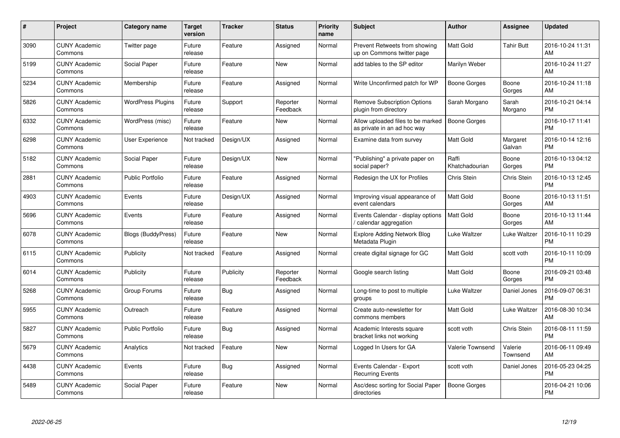| $\#$ | Project                         | Category name             | <b>Target</b><br>version | <b>Tracker</b> | <b>Status</b>        | <b>Priority</b><br>name | <b>Subject</b>                                                   | Author                  | <b>Assignee</b>     | <b>Updated</b>                |
|------|---------------------------------|---------------------------|--------------------------|----------------|----------------------|-------------------------|------------------------------------------------------------------|-------------------------|---------------------|-------------------------------|
| 3090 | <b>CUNY Academic</b><br>Commons | Twitter page              | Future<br>release        | Feature        | Assigned             | Normal                  | Prevent Retweets from showing<br>up on Commons twitter page      | <b>Matt Gold</b>        | <b>Tahir Butt</b>   | 2016-10-24 11:31<br>AM        |
| 5199 | <b>CUNY Academic</b><br>Commons | Social Paper              | Future<br>release        | Feature        | New                  | Normal                  | add tables to the SP editor                                      | Marilyn Weber           |                     | 2016-10-24 11:27<br>AM        |
| 5234 | <b>CUNY Academic</b><br>Commons | Membership                | Future<br>release        | Feature        | Assigned             | Normal                  | Write Unconfirmed patch for WP                                   | Boone Gorges            | Boone<br>Gorges     | 2016-10-24 11:18<br>AM        |
| 5826 | <b>CUNY Academic</b><br>Commons | <b>WordPress Plugins</b>  | Future<br>release        | Support        | Reporter<br>Feedback | Normal                  | <b>Remove Subscription Options</b><br>plugin from directory      | Sarah Morgano           | Sarah<br>Morgano    | 2016-10-21 04:14<br><b>PM</b> |
| 6332 | <b>CUNY Academic</b><br>Commons | WordPress (misc)          | Future<br>release        | Feature        | <b>New</b>           | Normal                  | Allow uploaded files to be marked<br>as private in an ad hoc way | <b>Boone Gorges</b>     |                     | 2016-10-17 11:41<br><b>PM</b> |
| 6298 | <b>CUNY Academic</b><br>Commons | <b>User Experience</b>    | Not tracked              | Design/UX      | Assigned             | Normal                  | Examine data from survey                                         | <b>Matt Gold</b>        | Margaret<br>Galvan  | 2016-10-14 12:16<br><b>PM</b> |
| 5182 | <b>CUNY Academic</b><br>Commons | Social Paper              | Future<br>release        | Design/UX      | <b>New</b>           | Normal                  | 'Publishing" a private paper on<br>social paper?                 | Raffi<br>Khatchadourian | Boone<br>Gorges     | 2016-10-13 04:12<br><b>PM</b> |
| 2881 | <b>CUNY Academic</b><br>Commons | <b>Public Portfolio</b>   | Future<br>release        | Feature        | Assigned             | Normal                  | Redesign the UX for Profiles                                     | Chris Stein             | Chris Stein         | 2016-10-13 12:45<br><b>PM</b> |
| 4903 | <b>CUNY Academic</b><br>Commons | Events                    | Future<br>release        | Design/UX      | Assigned             | Normal                  | Improving visual appearance of<br>event calendars                | <b>Matt Gold</b>        | Boone<br>Gorges     | 2016-10-13 11:51<br>AM        |
| 5696 | <b>CUNY Academic</b><br>Commons | Events                    | Future<br>release        | Feature        | Assigned             | Normal                  | Events Calendar - display options<br>calendar aggregation        | Matt Gold               | Boone<br>Gorges     | 2016-10-13 11:44<br>AM        |
| 6078 | <b>CUNY Academic</b><br>Commons | <b>Blogs (BuddyPress)</b> | Future<br>release        | Feature        | <b>New</b>           | Normal                  | Explore Adding Network Blog<br>Metadata Plugin                   | Luke Waltzer            | Luke Waltzer        | 2016-10-11 10:29<br><b>PM</b> |
| 6115 | <b>CUNY Academic</b><br>Commons | Publicity                 | Not tracked              | Feature        | Assigned             | Normal                  | create digital signage for GC                                    | <b>Matt Gold</b>        | scott voth          | 2016-10-11 10:09<br><b>PM</b> |
| 6014 | <b>CUNY Academic</b><br>Commons | Publicity                 | Future<br>release        | Publicity      | Reporter<br>Feedback | Normal                  | Google search listing                                            | <b>Matt Gold</b>        | Boone<br>Gorges     | 2016-09-21 03:48<br><b>PM</b> |
| 5268 | <b>CUNY Academic</b><br>Commons | Group Forums              | Future<br>release        | Bug            | Assigned             | Normal                  | Long-time to post to multiple<br>groups                          | Luke Waltzer            | Daniel Jones        | 2016-09-07 06:31<br><b>PM</b> |
| 5955 | <b>CUNY Academic</b><br>Commons | Outreach                  | Future<br>release        | Feature        | Assigned             | Normal                  | Create auto-newsletter for<br>commons members                    | <b>Matt Gold</b>        | Luke Waltzer        | 2016-08-30 10:34<br>AM        |
| 5827 | <b>CUNY Academic</b><br>Commons | <b>Public Portfolio</b>   | Future<br>release        | Bug            | Assigned             | Normal                  | Academic Interests square<br>bracket links not working           | scott voth              | Chris Stein         | 2016-08-11 11:59<br><b>PM</b> |
| 5679 | <b>CUNY Academic</b><br>Commons | Analytics                 | Not tracked              | Feature        | New                  | Normal                  | Logged In Users for GA                                           | Valerie Townsend        | Valerie<br>Townsend | 2016-06-11 09:49<br>AM        |
| 4438 | <b>CUNY Academic</b><br>Commons | Events                    | Future<br>release        | Bug            | Assigned             | Normal                  | Events Calendar - Export<br><b>Recurring Events</b>              | scott voth              | Daniel Jones        | 2016-05-23 04:25<br><b>PM</b> |
| 5489 | <b>CUNY Academic</b><br>Commons | Social Paper              | Future<br>release        | Feature        | <b>New</b>           | Normal                  | Asc/desc sorting for Social Paper<br>directories                 | <b>Boone Gorges</b>     |                     | 2016-04-21 10:06<br>PM        |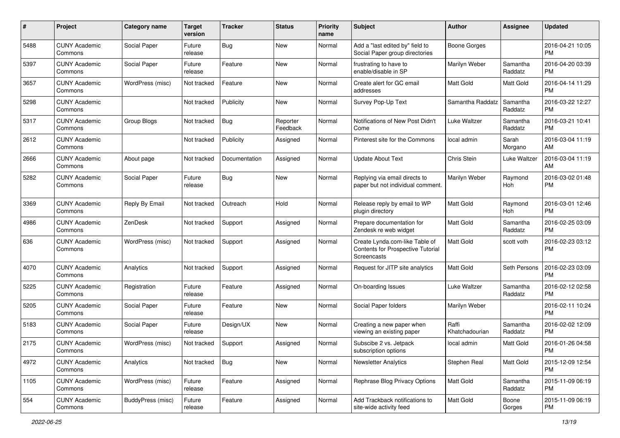| #    | Project                         | <b>Category name</b>     | <b>Target</b><br>version | <b>Tracker</b> | <b>Status</b>        | <b>Priority</b><br>name | Subject                                                                            | Author                  | Assignee            | <b>Updated</b>                |
|------|---------------------------------|--------------------------|--------------------------|----------------|----------------------|-------------------------|------------------------------------------------------------------------------------|-------------------------|---------------------|-------------------------------|
| 5488 | <b>CUNY Academic</b><br>Commons | Social Paper             | Future<br>release        | Bug            | New                  | Normal                  | Add a "last edited by" field to<br>Social Paper group directories                  | <b>Boone Gorges</b>     |                     | 2016-04-21 10:05<br><b>PM</b> |
| 5397 | <b>CUNY Academic</b><br>Commons | Social Paper             | Future<br>release        | Feature        | New                  | Normal                  | frustrating to have to<br>enable/disable in SP                                     | Marilyn Weber           | Samantha<br>Raddatz | 2016-04-20 03:39<br><b>PM</b> |
| 3657 | CUNY Academic<br>Commons        | WordPress (misc)         | Not tracked              | Feature        | New                  | Normal                  | Create alert for GC email<br>addresses                                             | Matt Gold               | Matt Gold           | 2016-04-14 11:29<br><b>PM</b> |
| 5298 | <b>CUNY Academic</b><br>Commons |                          | Not tracked              | Publicity      | New                  | Normal                  | Survey Pop-Up Text                                                                 | Samantha Raddatz        | Samantha<br>Raddatz | 2016-03-22 12:27<br><b>PM</b> |
| 5317 | <b>CUNY Academic</b><br>Commons | Group Blogs              | Not tracked              | Bug            | Reporter<br>Feedback | Normal                  | Notifications of New Post Didn't<br>Come                                           | Luke Waltzer            | Samantha<br>Raddatz | 2016-03-21 10:41<br><b>PM</b> |
| 2612 | <b>CUNY Academic</b><br>Commons |                          | Not tracked              | Publicity      | Assigned             | Normal                  | Pinterest site for the Commons                                                     | local admin             | Sarah<br>Morgano    | 2016-03-04 11:19<br>AM        |
| 2666 | <b>CUNY Academic</b><br>Commons | About page               | Not tracked              | Documentation  | Assigned             | Normal                  | <b>Update About Text</b>                                                           | Chris Stein             | Luke Waltzer        | 2016-03-04 11:19<br>AM        |
| 5282 | <b>CUNY Academic</b><br>Commons | Social Paper             | Future<br>release        | Bug            | New                  | Normal                  | Replying via email directs to<br>paper but not individual comment.                 | Marilyn Weber           | Raymond<br>Hoh      | 2016-03-02 01:48<br><b>PM</b> |
| 3369 | <b>CUNY Academic</b><br>Commons | Reply By Email           | Not tracked              | Outreach       | Hold                 | Normal                  | Release reply by email to WP<br>plugin directory                                   | <b>Matt Gold</b>        | Raymond<br>Hoh      | 2016-03-01 12:46<br><b>PM</b> |
| 4986 | <b>CUNY Academic</b><br>Commons | ZenDesk                  | Not tracked              | Support        | Assigned             | Normal                  | Prepare documentation for<br>Zendesk re web widget                                 | <b>Matt Gold</b>        | Samantha<br>Raddatz | 2016-02-25 03:09<br><b>PM</b> |
| 636  | <b>CUNY Academic</b><br>Commons | WordPress (misc)         | Not tracked              | Support        | Assigned             | Normal                  | Create Lynda.com-like Table of<br>Contents for Prospective Tutorial<br>Screencasts | <b>Matt Gold</b>        | scott voth          | 2016-02-23 03:12<br><b>PM</b> |
| 4070 | <b>CUNY Academic</b><br>Commons | Analytics                | Not tracked              | Support        | Assigned             | Normal                  | Request for JITP site analytics                                                    | <b>Matt Gold</b>        | Seth Persons        | 2016-02-23 03:09<br><b>PM</b> |
| 5225 | <b>CUNY Academic</b><br>Commons | Registration             | Future<br>release        | Feature        | Assigned             | Normal                  | On-boarding Issues                                                                 | Luke Waltzer            | Samantha<br>Raddatz | 2016-02-12 02:58<br><b>PM</b> |
| 5205 | <b>CUNY Academic</b><br>Commons | Social Paper             | Future<br>release        | Feature        | New                  | Normal                  | Social Paper folders                                                               | Marilyn Weber           |                     | 2016-02-11 10:24<br><b>PM</b> |
| 5183 | <b>CUNY Academic</b><br>Commons | Social Paper             | Future<br>release        | Design/UX      | New                  | Normal                  | Creating a new paper when<br>viewing an existing paper                             | Raffi<br>Khatchadourian | Samantha<br>Raddatz | 2016-02-02 12:09<br><b>PM</b> |
| 2175 | <b>CUNY Academic</b><br>Commons | WordPress (misc)         | Not tracked              | Support        | Assigned             | Normal                  | Subscibe 2 vs. Jetpack<br>subscription options                                     | local admin             | Matt Gold           | 2016-01-26 04:58<br>PM        |
| 4972 | <b>CUNY Academic</b><br>Commons | Analytics                | Not tracked              | Bug            | New                  | Normal                  | <b>Newsletter Analytics</b>                                                        | Stephen Real            | Matt Gold           | 2015-12-09 12:54<br><b>PM</b> |
| 1105 | <b>CUNY Academic</b><br>Commons | WordPress (misc)         | Future<br>release        | Feature        | Assigned             | Normal                  | Rephrase Blog Privacy Options                                                      | Matt Gold               | Samantha<br>Raddatz | 2015-11-09 06:19<br><b>PM</b> |
| 554  | <b>CUNY Academic</b><br>Commons | <b>BuddyPress</b> (misc) | Future<br>release        | Feature        | Assigned             | Normal                  | Add Trackback notifications to<br>site-wide activity feed                          | Matt Gold               | Boone<br>Gorges     | 2015-11-09 06:19<br>PM        |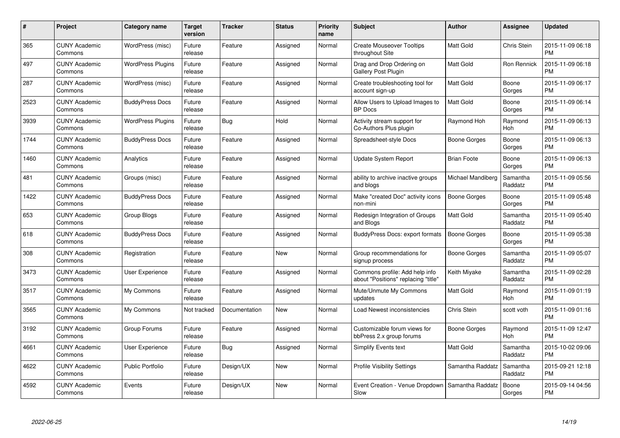| $\#$ | Project                         | <b>Category name</b>     | <b>Target</b><br>version | <b>Tracker</b> | <b>Status</b> | <b>Priority</b><br>name | <b>Subject</b>                                                        | Author              | <b>Assignee</b>       | <b>Updated</b>                |
|------|---------------------------------|--------------------------|--------------------------|----------------|---------------|-------------------------|-----------------------------------------------------------------------|---------------------|-----------------------|-------------------------------|
| 365  | <b>CUNY Academic</b><br>Commons | WordPress (misc)         | Future<br>release        | Feature        | Assigned      | Normal                  | <b>Create Mouseover Tooltips</b><br>throughout Site                   | <b>Matt Gold</b>    | Chris Stein           | 2015-11-09 06:18<br><b>PM</b> |
| 497  | <b>CUNY Academic</b><br>Commons | <b>WordPress Plugins</b> | Future<br>release        | Feature        | Assigned      | Normal                  | Drag and Drop Ordering on<br><b>Gallery Post Plugin</b>               | <b>Matt Gold</b>    | Ron Rennick           | 2015-11-09 06:18<br><b>PM</b> |
| 287  | <b>CUNY Academic</b><br>Commons | WordPress (misc)         | Future<br>release        | Feature        | Assigned      | Normal                  | Create troubleshooting tool for<br>account sign-up                    | <b>Matt Gold</b>    | Boone<br>Gorges       | 2015-11-09 06:17<br><b>PM</b> |
| 2523 | <b>CUNY Academic</b><br>Commons | <b>BuddyPress Docs</b>   | Future<br>release        | Feature        | Assigned      | Normal                  | Allow Users to Upload Images to<br><b>BP</b> Docs                     | <b>Matt Gold</b>    | Boone<br>Gorges       | 2015-11-09 06:14<br><b>PM</b> |
| 3939 | <b>CUNY Academic</b><br>Commons | <b>WordPress Plugins</b> | Future<br>release        | <b>Bug</b>     | Hold          | Normal                  | Activity stream support for<br>Co-Authors Plus plugin                 | Raymond Hoh         | Raymond<br>Hoh        | 2015-11-09 06:13<br><b>PM</b> |
| 1744 | <b>CUNY Academic</b><br>Commons | <b>BuddyPress Docs</b>   | Future<br>release        | Feature        | Assigned      | Normal                  | Spreadsheet-style Docs                                                | Boone Gorges        | Boone<br>Gorges       | 2015-11-09 06:13<br><b>PM</b> |
| 1460 | <b>CUNY Academic</b><br>Commons | Analytics                | Future<br>release        | Feature        | Assigned      | Normal                  | Update System Report                                                  | <b>Brian Foote</b>  | Boone<br>Gorges       | 2015-11-09 06:13<br><b>PM</b> |
| 481  | <b>CUNY Academic</b><br>Commons | Groups (misc)            | Future<br>release        | Feature        | Assigned      | Normal                  | ability to archive inactive groups<br>and blogs                       | Michael Mandiberg   | Samantha<br>Raddatz   | 2015-11-09 05:56<br><b>PM</b> |
| 1422 | <b>CUNY Academic</b><br>Commons | <b>BuddyPress Docs</b>   | Future<br>release        | Feature        | Assigned      | Normal                  | Make "created Doc" activity icons<br>non-mini                         | Boone Gorges        | Boone<br>Gorges       | 2015-11-09 05:48<br><b>PM</b> |
| 653  | <b>CUNY Academic</b><br>Commons | Group Blogs              | Future<br>release        | Feature        | Assigned      | Normal                  | Redesign Integration of Groups<br>and Blogs                           | Matt Gold           | Samantha<br>Raddatz   | 2015-11-09 05:40<br><b>PM</b> |
| 618  | <b>CUNY Academic</b><br>Commons | <b>BuddyPress Docs</b>   | Future<br>release        | Feature        | Assigned      | Normal                  | BuddyPress Docs: export formats                                       | <b>Boone Gorges</b> | Boone<br>Gorges       | 2015-11-09 05:38<br><b>PM</b> |
| 308  | <b>CUNY Academic</b><br>Commons | Registration             | Future<br>release        | Feature        | <b>New</b>    | Normal                  | Group recommendations for<br>signup process                           | Boone Gorges        | Samantha<br>Raddatz   | 2015-11-09 05:07<br><b>PM</b> |
| 3473 | <b>CUNY Academic</b><br>Commons | User Experience          | Future<br>release        | Feature        | Assigned      | Normal                  | Commons profile: Add help info<br>about "Positions" replacing "title" | Keith Miyake        | Samantha<br>Raddatz   | 2015-11-09 02:28<br><b>PM</b> |
| 3517 | <b>CUNY Academic</b><br>Commons | My Commons               | Future<br>release        | Feature        | Assigned      | Normal                  | Mute/Unmute My Commons<br>updates                                     | <b>Matt Gold</b>    | Raymond<br>Hoh        | 2015-11-09 01:19<br><b>PM</b> |
| 3565 | <b>CUNY Academic</b><br>Commons | My Commons               | Not tracked              | Documentation  | <b>New</b>    | Normal                  | Load Newest inconsistencies                                           | <b>Chris Stein</b>  | scott voth            | 2015-11-09 01:16<br><b>PM</b> |
| 3192 | <b>CUNY Academic</b><br>Commons | Group Forums             | Future<br>release        | Feature        | Assigned      | Normal                  | Customizable forum views for<br>bbPress 2.x group forums              | Boone Gorges        | Raymond<br><b>Hoh</b> | 2015-11-09 12:47<br><b>PM</b> |
| 4661 | <b>CUNY Academic</b><br>Commons | User Experience          | Future<br>release        | <b>Bug</b>     | Assigned      | Normal                  | <b>Simplify Events text</b>                                           | Matt Gold           | Samantha<br>Raddatz   | 2015-10-02 09:06<br><b>PM</b> |
| 4622 | <b>CUNY Academic</b><br>Commons | Public Portfolio         | Future<br>release        | Design/UX      | <b>New</b>    | Normal                  | <b>Profile Visibility Settings</b>                                    | Samantha Raddatz    | Samantha<br>Raddatz   | 2015-09-21 12:18<br><b>PM</b> |
| 4592 | CUNY Academic<br>Commons        | Events                   | Future<br>release        | Design/UX      | <b>New</b>    | Normal                  | Event Creation - Venue Dropdown<br>Slow                               | Samantha Raddatz    | Boone<br>Gorges       | 2015-09-14 04:56<br><b>PM</b> |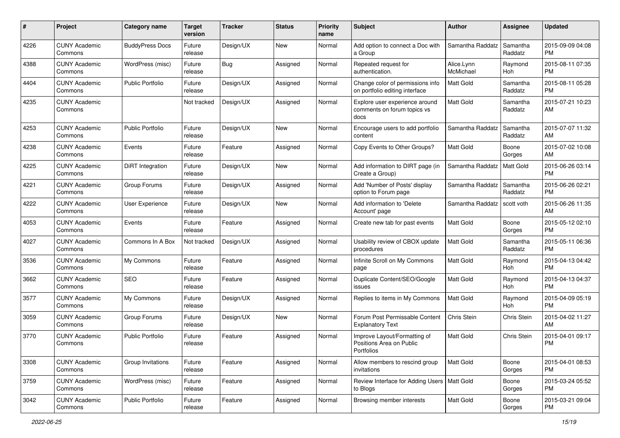| #    | Project                         | <b>Category name</b>    | <b>Target</b><br>version | Tracker   | <b>Status</b> | <b>Priority</b><br>name | Subject                                                                | Author                  | Assignee            | <b>Updated</b>                |
|------|---------------------------------|-------------------------|--------------------------|-----------|---------------|-------------------------|------------------------------------------------------------------------|-------------------------|---------------------|-------------------------------|
| 4226 | <b>CUNY Academic</b><br>Commons | <b>BuddyPress Docs</b>  | Future<br>release        | Design/UX | <b>New</b>    | Normal                  | Add option to connect a Doc with<br>a Group                            | Samantha Raddatz        | Samantha<br>Raddatz | 2015-09-09 04:08<br>PM        |
| 4388 | <b>CUNY Academic</b><br>Commons | WordPress (misc)        | Future<br>release        | Bug       | Assigned      | Normal                  | Repeated request for<br>authentication.                                | Alice.Lynn<br>McMichael | Raymond<br>Hoh      | 2015-08-11 07:35<br><b>PM</b> |
| 4404 | <b>CUNY Academic</b><br>Commons | <b>Public Portfolio</b> | Future<br>release        | Design/UX | Assigned      | Normal                  | Change color of permissions info<br>on portfolio editing interface     | Matt Gold               | Samantha<br>Raddatz | 2015-08-11 05:28<br><b>PM</b> |
| 4235 | <b>CUNY Academic</b><br>Commons |                         | Not tracked              | Design/UX | Assigned      | Normal                  | Explore user experience around<br>comments on forum topics vs<br>docs  | <b>Matt Gold</b>        | Samantha<br>Raddatz | 2015-07-21 10:23<br>AM        |
| 4253 | <b>CUNY Academic</b><br>Commons | <b>Public Portfolio</b> | Future<br>release        | Design/UX | New           | Normal                  | Encourage users to add portfolio<br>content                            | Samantha Raddatz        | Samantha<br>Raddatz | 2015-07-07 11:32<br>AM        |
| 4238 | <b>CUNY Academic</b><br>Commons | Events                  | Future<br>release        | Feature   | Assigned      | Normal                  | Copy Events to Other Groups?                                           | Matt Gold               | Boone<br>Gorges     | 2015-07-02 10:08<br>AM        |
| 4225 | <b>CUNY Academic</b><br>Commons | <b>DiRT</b> Integration | Future<br>release        | Design/UX | New           | Normal                  | Add information to DIRT page (in<br>Create a Group)                    | Samantha Raddatz        | <b>Matt Gold</b>    | 2015-06-26 03:14<br><b>PM</b> |
| 4221 | <b>CUNY Academic</b><br>Commons | Group Forums            | Future<br>release        | Design/UX | Assigned      | Normal                  | Add 'Number of Posts' display<br>option to Forum page                  | Samantha Raddatz        | Samantha<br>Raddatz | 2015-06-26 02:21<br><b>PM</b> |
| 4222 | <b>CUNY Academic</b><br>Commons | User Experience         | Future<br>release        | Design/UX | <b>New</b>    | Normal                  | Add information to 'Delete<br>Account' page                            | Samantha Raddatz        | scott voth          | 2015-06-26 11:35<br>AM        |
| 4053 | <b>CUNY Academic</b><br>Commons | Events                  | Future<br>release        | Feature   | Assigned      | Normal                  | Create new tab for past events                                         | Matt Gold               | Boone<br>Gorges     | 2015-05-12 02:10<br><b>PM</b> |
| 4027 | <b>CUNY Academic</b><br>Commons | Commons In A Box        | Not tracked              | Design/UX | Assigned      | Normal                  | Usability review of CBOX update<br>procedures                          | <b>Matt Gold</b>        | Samantha<br>Raddatz | 2015-05-11 06:36<br><b>PM</b> |
| 3536 | <b>CUNY Academic</b><br>Commons | My Commons              | Future<br>release        | Feature   | Assigned      | Normal                  | Infinite Scroll on My Commons<br>page                                  | <b>Matt Gold</b>        | Raymond<br>Hoh      | 2015-04-13 04:42<br><b>PM</b> |
| 3662 | <b>CUNY Academic</b><br>Commons | SEO                     | Future<br>release        | Feature   | Assigned      | Normal                  | Duplicate Content/SEO/Google<br>issues                                 | <b>Matt Gold</b>        | Raymond<br>Hoh      | 2015-04-13 04:37<br><b>PM</b> |
| 3577 | <b>CUNY Academic</b><br>Commons | My Commons              | Future<br>release        | Design/UX | Assigned      | Normal                  | Replies to items in My Commons                                         | Matt Gold               | Raymond<br>Hoh      | 2015-04-09 05:19<br><b>PM</b> |
| 3059 | <b>CUNY Academic</b><br>Commons | Group Forums            | Future<br>release        | Design/UX | New           | Normal                  | Forum Post Permissable Content<br><b>Explanatory Text</b>              | Chris Stein             | Chris Stein         | 2015-04-02 11:27<br>AM        |
| 3770 | <b>CUNY Academic</b><br>Commons | <b>Public Portfolio</b> | Future<br>release        | Feature   | Assigned      | Normal                  | Improve Layout/Formatting of<br>Positions Area on Public<br>Portfolios | <b>Matt Gold</b>        | Chris Stein         | 2015-04-01 09:17<br><b>PM</b> |
| 3308 | <b>CUNY Academic</b><br>Commons | Group Invitations       | Future<br>release        | Feature   | Assigned      | Normal                  | Allow members to rescind group<br>invitations                          | Matt Gold               | Boone<br>Gorges     | 2015-04-01 08:53<br>PM        |
| 3759 | <b>CUNY Academic</b><br>Commons | WordPress (misc)        | Future<br>release        | Feature   | Assigned      | Normal                  | Review Interface for Adding Users   Matt Gold<br>to Blogs              |                         | Boone<br>Gorges     | 2015-03-24 05:52<br>PM        |
| 3042 | <b>CUNY Academic</b><br>Commons | Public Portfolio        | Future<br>release        | Feature   | Assigned      | Normal                  | Browsing member interests                                              | Matt Gold               | Boone<br>Gorges     | 2015-03-21 09:04<br><b>PM</b> |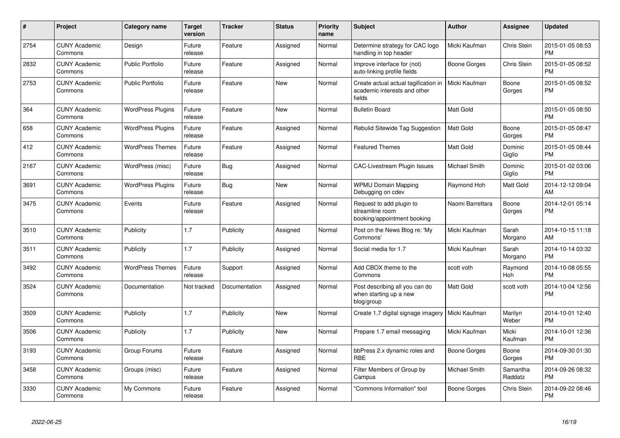| $\#$ | Project                         | Category name            | <b>Target</b><br>version | <b>Tracker</b> | <b>Status</b> | <b>Priority</b><br>name | <b>Subject</b>                                                                 | Author           | Assignee            | <b>Updated</b>                |
|------|---------------------------------|--------------------------|--------------------------|----------------|---------------|-------------------------|--------------------------------------------------------------------------------|------------------|---------------------|-------------------------------|
| 2754 | <b>CUNY Academic</b><br>Commons | Design                   | Future<br>release        | Feature        | Assigned      | Normal                  | Determine strategy for CAC logo<br>handling in top header                      | Micki Kaufman    | Chris Stein         | 2015-01-05 08:53<br><b>PM</b> |
| 2832 | <b>CUNY Academic</b><br>Commons | <b>Public Portfolio</b>  | Future<br>release        | Feature        | Assigned      | Normal                  | Improve interface for (not)<br>auto-linking profile fields                     | Boone Gorges     | Chris Stein         | 2015-01-05 08:52<br><b>PM</b> |
| 2753 | <b>CUNY Academic</b><br>Commons | <b>Public Portfolio</b>  | Future<br>release        | Feature        | <b>New</b>    | Normal                  | Create actual actual tagification in<br>academic interests and other<br>fields | Micki Kaufman    | Boone<br>Gorges     | 2015-01-05 08:52<br><b>PM</b> |
| 364  | <b>CUNY Academic</b><br>Commons | <b>WordPress Plugins</b> | Future<br>release        | Feature        | New           | Normal                  | <b>Bulletin Board</b>                                                          | <b>Matt Gold</b> |                     | 2015-01-05 08:50<br><b>PM</b> |
| 658  | <b>CUNY Academic</b><br>Commons | <b>WordPress Plugins</b> | Future<br>release        | Feature        | Assigned      | Normal                  | Rebulid Sitewide Tag Suggestion                                                | <b>Matt Gold</b> | Boone<br>Gorges     | 2015-01-05 08:47<br><b>PM</b> |
| 412  | <b>CUNY Academic</b><br>Commons | <b>WordPress Themes</b>  | Future<br>release        | Feature        | Assigned      | Normal                  | <b>Featured Themes</b>                                                         | <b>Matt Gold</b> | Dominic<br>Giglio   | 2015-01-05 08:44<br><b>PM</b> |
| 2167 | <b>CUNY Academic</b><br>Commons | WordPress (misc)         | Future<br>release        | Bug            | Assigned      | Normal                  | <b>CAC-Livestream Plugin Issues</b>                                            | Michael Smith    | Dominic<br>Giglio   | 2015-01-02 03:06<br><b>PM</b> |
| 3691 | <b>CUNY Academic</b><br>Commons | <b>WordPress Plugins</b> | Future<br>release        | Bug            | <b>New</b>    | Normal                  | <b>WPMU Domain Mapping</b><br>Debugging on cdev                                | Raymond Hoh      | Matt Gold           | 2014-12-12 09:04<br>AM        |
| 3475 | <b>CUNY Academic</b><br>Commons | Events                   | Future<br>release        | Feature        | Assigned      | Normal                  | Request to add plugin to<br>streamline room<br>booking/appointment booking     | Naomi Barrettara | Boone<br>Gorges     | 2014-12-01 05:14<br><b>PM</b> |
| 3510 | <b>CUNY Academic</b><br>Commons | Publicity                | 1.7                      | Publicity      | Assigned      | Normal                  | Post on the News Blog re: 'My<br>Commons'                                      | Micki Kaufman    | Sarah<br>Morgano    | 2014-10-15 11:18<br>AM        |
| 3511 | <b>CUNY Academic</b><br>Commons | Publicity                | 1.7                      | Publicity      | Assigned      | Normal                  | Social media for 1.7                                                           | Micki Kaufman    | Sarah<br>Morgano    | 2014-10-14 03:32<br><b>PM</b> |
| 3492 | <b>CUNY Academic</b><br>Commons | <b>WordPress Themes</b>  | Future<br>release        | Support        | Assigned      | Normal                  | Add CBOX theme to the<br>Commons                                               | scott voth       | Raymond<br>Hoh      | 2014-10-08 05:55<br><b>PM</b> |
| 3524 | <b>CUNY Academic</b><br>Commons | Documentation            | Not tracked              | Documentation  | Assigned      | Normal                  | Post describing all you can do<br>when starting up a new<br>blog/group         | <b>Matt Gold</b> | scott voth          | 2014-10-04 12:56<br><b>PM</b> |
| 3509 | <b>CUNY Academic</b><br>Commons | Publicity                | 1.7                      | Publicity      | <b>New</b>    | Normal                  | Create 1.7 digital signage imagery                                             | Micki Kaufman    | Marilyn<br>Weber    | 2014-10-01 12:40<br><b>PM</b> |
| 3506 | <b>CUNY Academic</b><br>Commons | Publicity                | 1.7                      | Publicity      | New           | Normal                  | Prepare 1.7 email messaging                                                    | Micki Kaufman    | Micki<br>Kaufman    | 2014-10-01 12:36<br><b>PM</b> |
| 3193 | <b>CUNY Academic</b><br>Commons | Group Forums             | Future<br>release        | Feature        | Assigned      | Normal                  | bbPress 2.x dynamic roles and<br><b>RBE</b>                                    | Boone Gorges     | Boone<br>Gorges     | 2014-09-30 01:30<br><b>PM</b> |
| 3458 | <b>CUNY Academic</b><br>Commons | Groups (misc)            | Future<br>release        | Feature        | Assigned      | Normal                  | Filter Members of Group by<br>Campus                                           | Michael Smith    | Samantha<br>Raddatz | 2014-09-26 08:32<br><b>PM</b> |
| 3330 | <b>CUNY Academic</b><br>Commons | My Commons               | Future<br>release        | Feature        | Assigned      | Normal                  | 'Commons Information" tool                                                     | Boone Gorges     | Chris Stein         | 2014-09-22 08:46<br><b>PM</b> |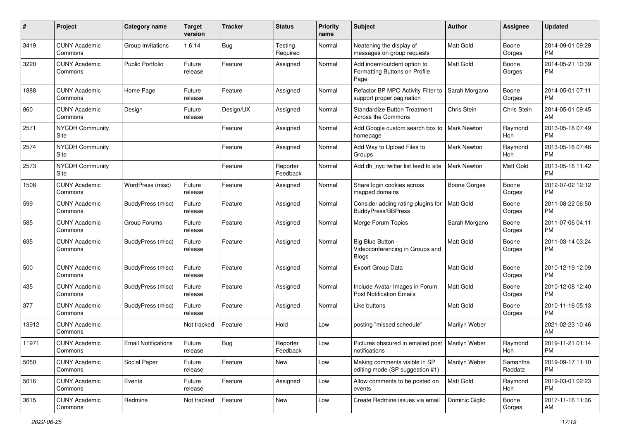| #     | Project                         | <b>Category name</b>       | Target<br>version | <b>Tracker</b> | <b>Status</b>        | <b>Priority</b><br>name | <b>Subject</b>                                                        | Author              | Assignee            | <b>Updated</b>                |
|-------|---------------------------------|----------------------------|-------------------|----------------|----------------------|-------------------------|-----------------------------------------------------------------------|---------------------|---------------------|-------------------------------|
| 3419  | <b>CUNY Academic</b><br>Commons | Group Invitations          | 1.6.14            | <b>Bug</b>     | Testing<br>Required  | Normal                  | Neatening the display of<br>messages on group requests                | Matt Gold           | Boone<br>Gorges     | 2014-09-01 09:29<br><b>PM</b> |
| 3220  | <b>CUNY Academic</b><br>Commons | <b>Public Portfolio</b>    | Future<br>release | Feature        | Assigned             | Normal                  | Add indent/outdent option to<br>Formatting Buttons on Profile<br>Page | Matt Gold           | Boone<br>Gorges     | 2014-05-21 10:39<br><b>PM</b> |
| 1888  | <b>CUNY Academic</b><br>Commons | Home Page                  | Future<br>release | Feature        | Assigned             | Normal                  | Refactor BP MPO Activity Filter to<br>support proper pagination       | Sarah Morgano       | Boone<br>Gorges     | 2014-05-01 07:11<br><b>PM</b> |
| 860   | <b>CUNY Academic</b><br>Commons | Design                     | Future<br>release | Design/UX      | Assigned             | Normal                  | <b>Standardize Button Treatment</b><br>Across the Commons             | Chris Stein         | Chris Stein         | 2014-05-01 09:45<br>AM        |
| 2571  | <b>NYCDH Community</b><br>Site  |                            |                   | Feature        | Assigned             | Normal                  | Add Google custom search box to<br>homepage                           | <b>Mark Newton</b>  | Raymond<br>Hoh      | 2013-05-18 07:49<br><b>PM</b> |
| 2574  | <b>NYCDH Community</b><br>Site  |                            |                   | Feature        | Assigned             | Normal                  | Add Way to Upload Files to<br>Groups                                  | Mark Newton         | Raymond<br>Hoh      | 2013-05-18 07:46<br>PM        |
| 2573  | <b>NYCDH Community</b><br>Site  |                            |                   | Feature        | Reporter<br>Feedback | Normal                  | Add dh_nyc twitter list feed to site                                  | <b>Mark Newton</b>  | Matt Gold           | 2013-05-16 11:42<br><b>PM</b> |
| 1508  | <b>CUNY Academic</b><br>Commons | WordPress (misc)           | Future<br>release | Feature        | Assigned             | Normal                  | Share login cookies across<br>mapped domains                          | <b>Boone Gorges</b> | Boone<br>Gorges     | 2012-07-02 12:12<br><b>PM</b> |
| 599   | <b>CUNY Academic</b><br>Commons | BuddyPress (misc)          | Future<br>release | Feature        | Assigned             | Normal                  | Consider adding rating plugins for<br><b>BuddyPress/BBPress</b>       | Matt Gold           | Boone<br>Gorges     | 2011-08-22 06:50<br><b>PM</b> |
| 585   | <b>CUNY Academic</b><br>Commons | Group Forums               | Future<br>release | Feature        | Assigned             | Normal                  | Merge Forum Topics                                                    | Sarah Morgano       | Boone<br>Gorges     | 2011-07-06 04:11<br><b>PM</b> |
| 635   | <b>CUNY Academic</b><br>Commons | BuddyPress (misc)          | Future<br>release | Feature        | Assigned             | Normal                  | Big Blue Button -<br>Videoconferencing in Groups and<br><b>Blogs</b>  | Matt Gold           | Boone<br>Gorges     | 2011-03-14 03:24<br><b>PM</b> |
| 500   | <b>CUNY Academic</b><br>Commons | BuddyPress (misc)          | Future<br>release | Feature        | Assigned             | Normal                  | <b>Export Group Data</b>                                              | Matt Gold           | Boone<br>Gorges     | 2010-12-19 12:09<br><b>PM</b> |
| 435   | <b>CUNY Academic</b><br>Commons | BuddyPress (misc)          | Future<br>release | Feature        | Assigned             | Normal                  | Include Avatar Images in Forum<br><b>Post Notification Emails</b>     | <b>Matt Gold</b>    | Boone<br>Gorges     | 2010-12-08 12:40<br><b>PM</b> |
| 377   | <b>CUNY Academic</b><br>Commons | BuddyPress (misc)          | Future<br>release | Feature        | Assigned             | Normal                  | Like buttons                                                          | Matt Gold           | Boone<br>Gorges     | 2010-11-16 05:13<br><b>PM</b> |
| 13912 | <b>CUNY Academic</b><br>Commons |                            | Not tracked       | Feature        | Hold                 | Low                     | posting "missed schedule"                                             | Marilyn Weber       |                     | 2021-02-23 10:46<br>AM        |
| 11971 | <b>CUNY Academic</b><br>Commons | <b>Email Notifications</b> | Future<br>release | Bug            | Reporter<br>Feedback | Low                     | Pictures obscured in emailed post   Marilyn Weber<br>notifications    |                     | Raymond<br>Hoh      | 2019-11-21 01:14<br>PM        |
| 5050  | <b>CUNY Academic</b><br>Commons | Social Paper               | Future<br>release | Feature        | New                  | Low                     | Making comments visible in SP<br>editing mode (SP suggestion #1)      | Marilyn Weber       | Samantha<br>Raddatz | 2019-09-17 11:10<br><b>PM</b> |
| 5016  | <b>CUNY Academic</b><br>Commons | Events                     | Future<br>release | Feature        | Assigned             | Low                     | Allow comments to be posted on<br>events                              | Matt Gold           | Raymond<br>Hoh      | 2019-03-01 02:23<br><b>PM</b> |
| 3615  | <b>CUNY Academic</b><br>Commons | Redmine                    | Not tracked       | Feature        | New                  | Low                     | Create Redmine issues via email                                       | Dominic Giglio      | Boone<br>Gorges     | 2017-11-16 11:36<br>AM        |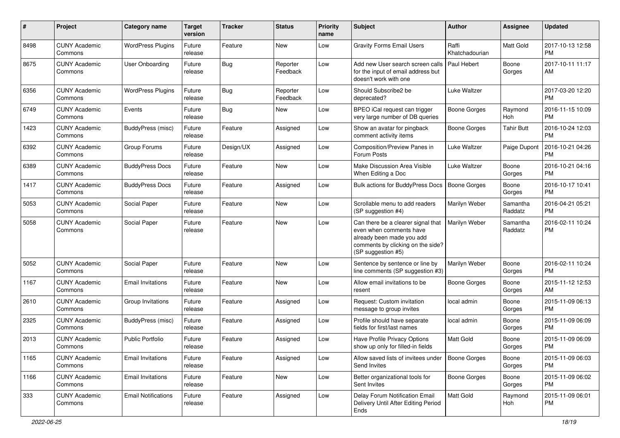| #    | Project                         | <b>Category name</b>       | Target<br>version | <b>Tracker</b> | <b>Status</b>        | <b>Priority</b><br>name | <b>Subject</b>                                                                                                                                        | <b>Author</b>           | <b>Assignee</b>     | <b>Updated</b>                |
|------|---------------------------------|----------------------------|-------------------|----------------|----------------------|-------------------------|-------------------------------------------------------------------------------------------------------------------------------------------------------|-------------------------|---------------------|-------------------------------|
| 8498 | <b>CUNY Academic</b><br>Commons | <b>WordPress Plugins</b>   | Future<br>release | Feature        | <b>New</b>           | Low                     | <b>Gravity Forms Email Users</b>                                                                                                                      | Raffi<br>Khatchadourian | Matt Gold           | 2017-10-13 12:58<br><b>PM</b> |
| 8675 | <b>CUNY Academic</b><br>Commons | <b>User Onboarding</b>     | Future<br>release | <b>Bug</b>     | Reporter<br>Feedback | Low                     | Add new User search screen calls<br>for the input of email address but<br>doesn't work with one                                                       | Paul Hebert             | Boone<br>Gorges     | 2017-10-11 11:17<br>AM        |
| 6356 | <b>CUNY Academic</b><br>Commons | <b>WordPress Plugins</b>   | Future<br>release | <b>Bug</b>     | Reporter<br>Feedback | Low                     | Should Subscribe2 be<br>deprecated?                                                                                                                   | Luke Waltzer            |                     | 2017-03-20 12:20<br><b>PM</b> |
| 6749 | <b>CUNY Academic</b><br>Commons | Events                     | Future<br>release | <b>Bug</b>     | New                  | Low                     | BPEO iCal request can trigger<br>very large number of DB queries                                                                                      | Boone Gorges            | Raymond<br>Hoh      | 2016-11-15 10:09<br><b>PM</b> |
| 1423 | <b>CUNY Academic</b><br>Commons | BuddyPress (misc)          | Future<br>release | Feature        | Assigned             | Low                     | Show an avatar for pingback<br>comment activity items                                                                                                 | Boone Gorges            | <b>Tahir Butt</b>   | 2016-10-24 12:03<br><b>PM</b> |
| 6392 | <b>CUNY Academic</b><br>Commons | Group Forums               | Future<br>release | Design/UX      | Assigned             | Low                     | Composition/Preview Panes in<br>Forum Posts                                                                                                           | Luke Waltzer            | Paige Dupont        | 2016-10-21 04:26<br>PM        |
| 6389 | <b>CUNY Academic</b><br>Commons | <b>BuddyPress Docs</b>     | Future<br>release | Feature        | New                  | Low                     | Make Discussion Area Visible<br>When Editing a Doc                                                                                                    | Luke Waltzer            | Boone<br>Gorges     | 2016-10-21 04:16<br><b>PM</b> |
| 1417 | <b>CUNY Academic</b><br>Commons | <b>BuddyPress Docs</b>     | Future<br>release | Feature        | Assigned             | Low                     | Bulk actions for BuddyPress Docs                                                                                                                      | <b>Boone Gorges</b>     | Boone<br>Gorges     | 2016-10-17 10:41<br><b>PM</b> |
| 5053 | <b>CUNY Academic</b><br>Commons | Social Paper               | Future<br>release | Feature        | <b>New</b>           | Low                     | Scrollable menu to add readers<br>(SP suggestion #4)                                                                                                  | Marilyn Weber           | Samantha<br>Raddatz | 2016-04-21 05:21<br><b>PM</b> |
| 5058 | <b>CUNY Academic</b><br>Commons | Social Paper               | Future<br>release | Feature        | New                  | Low                     | Can there be a clearer signal that<br>even when comments have<br>already been made you add<br>comments by clicking on the side?<br>(SP suggestion #5) | Marilyn Weber           | Samantha<br>Raddatz | 2016-02-11 10:24<br><b>PM</b> |
| 5052 | <b>CUNY Academic</b><br>Commons | Social Paper               | Future<br>release | Feature        | New                  | Low                     | Sentence by sentence or line by<br>line comments (SP suggestion #3)                                                                                   | Marilyn Weber           | Boone<br>Gorges     | 2016-02-11 10:24<br><b>PM</b> |
| 1167 | <b>CUNY Academic</b><br>Commons | <b>Email Invitations</b>   | Future<br>release | Feature        | <b>New</b>           | Low                     | Allow email invitations to be<br>resent                                                                                                               | Boone Gorges            | Boone<br>Gorges     | 2015-11-12 12:53<br>AM        |
| 2610 | <b>CUNY Academic</b><br>Commons | Group Invitations          | Future<br>release | Feature        | Assigned             | Low                     | Request: Custom invitation<br>message to group invites                                                                                                | local admin             | Boone<br>Gorges     | 2015-11-09 06:13<br><b>PM</b> |
| 2325 | <b>CUNY Academic</b><br>Commons | BuddyPress (misc)          | Future<br>release | Feature        | Assigned             | Low                     | Profile should have separate<br>fields for first/last names                                                                                           | local admin             | Boone<br>Gorges     | 2015-11-09 06:09<br><b>PM</b> |
| 2013 | <b>CUNY Academic</b><br>Commons | <b>Public Portfolio</b>    | Future<br>release | Feature        | Assigned             | Low                     | Have Profile Privacy Options<br>show up only for filled-in fields                                                                                     | Matt Gold               | Boone<br>Gorges     | 2015-11-09 06:09<br><b>PM</b> |
| 1165 | <b>CUNY Academic</b><br>Commons | <b>Email Invitations</b>   | Future<br>release | Feature        | Assigned             | Low                     | Allow saved lists of invitees under<br>Send Invites                                                                                                   | Boone Gorges            | Boone<br>Gorges     | 2015-11-09 06:03<br><b>PM</b> |
| 1166 | <b>CUNY Academic</b><br>Commons | <b>Email Invitations</b>   | Future<br>release | Feature        | New                  | Low                     | Better organizational tools for<br>Sent Invites                                                                                                       | <b>Boone Gorges</b>     | Boone<br>Gorges     | 2015-11-09 06:02<br><b>PM</b> |
| 333  | <b>CUNY Academic</b><br>Commons | <b>Email Notifications</b> | Future<br>release | Feature        | Assigned             | Low                     | Delay Forum Notification Email<br>Delivery Until After Editing Period<br>Ends                                                                         | Matt Gold               | Raymond<br>Hoh      | 2015-11-09 06:01<br>PM        |